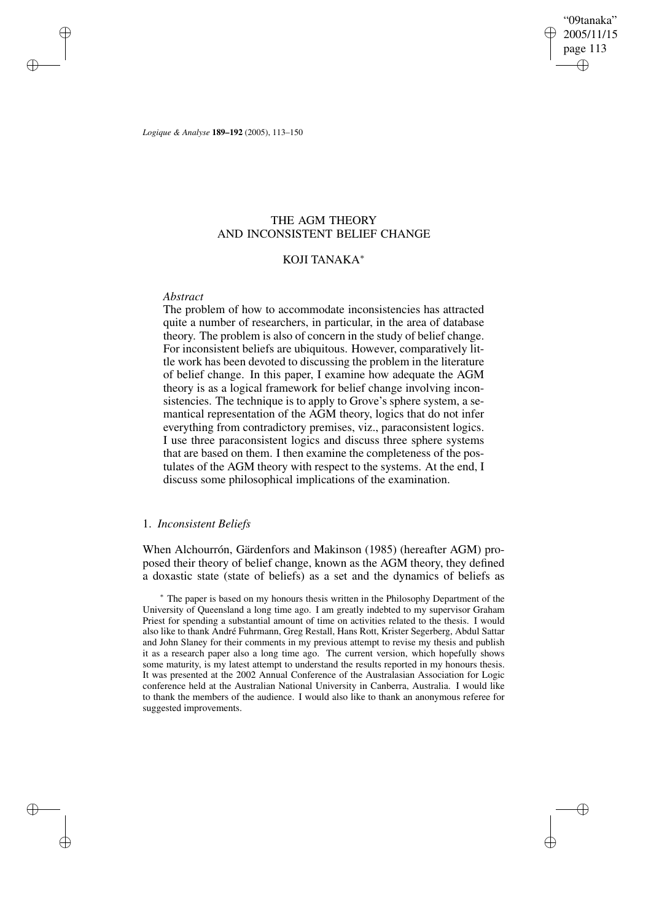"09tanaka" 2005/11/15 page 113 ✐ ✐

✐

✐

*Logique & Analyse* **189–192** (2005), 113–150

## THE AGM THEORY AND INCONSISTENT BELIEF CHANGE

## KOJI TANAKA<sup>∗</sup>

#### *Abstract*

✐

✐

✐

✐

The problem of how to accommodate inconsistencies has attracted quite a number of researchers, in particular, in the area of database theory. The problem is also of concern in the study of belief change. For inconsistent beliefs are ubiquitous. However, comparatively little work has been devoted to discussing the problem in the literature of belief change. In this paper, I examine how adequate the AGM theory is as a logical framework for belief change involving inconsistencies. The technique is to apply to Grove's sphere system, a semantical representation of the AGM theory, logics that do not infer everything from contradictory premises, viz., paraconsistent logics. I use three paraconsistent logics and discuss three sphere systems that are based on them. I then examine the completeness of the postulates of the AGM theory with respect to the systems. At the end, I discuss some philosophical implications of the examination.

## 1. *Inconsistent Beliefs*

When Alchourrón, Gärdenfors and Makinson (1985) (hereafter AGM) proposed their theory of belief change, known as the AGM theory, they defined a doxastic state (state of beliefs) as a set and the dynamics of beliefs as

<sup>∗</sup> The paper is based on my honours thesis written in the Philosophy Department of the University of Queensland a long time ago. I am greatly indebted to my supervisor Graham Priest for spending a substantial amount of time on activities related to the thesis. I would also like to thank André Fuhrmann, Greg Restall, Hans Rott, Krister Segerberg, Abdul Sattar and John Slaney for their comments in my previous attempt to revise my thesis and publish it as a research paper also a long time ago. The current version, which hopefully shows some maturity, is my latest attempt to understand the results reported in my honours thesis. It was presented at the 2002 Annual Conference of the Australasian Association for Logic conference held at the Australian National University in Canberra, Australia. I would like to thank the members of the audience. I would also like to thank an anonymous referee for suggested improvements.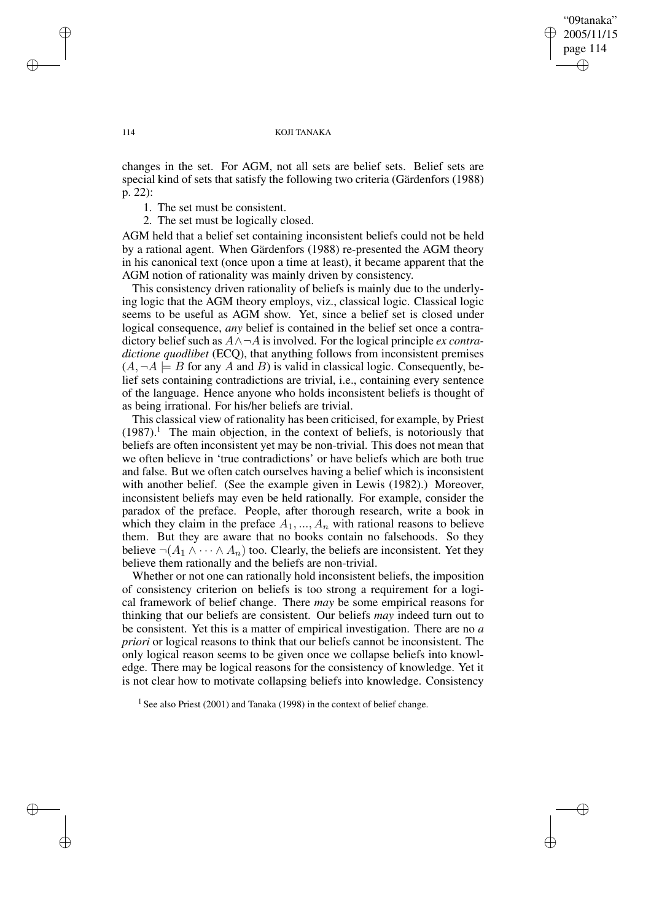"09tanaka" 2005/11/15 page 114 ✐ ✐

✐

✐

#### 114 KOJI TANAKA

changes in the set. For AGM, not all sets are belief sets. Belief sets are special kind of sets that satisfy the following two criteria (Gärdenfors (1988) p. 22):

1. The set must be consistent.

2. The set must be logically closed.

AGM held that a belief set containing inconsistent beliefs could not be held by a rational agent. When Gärdenfors (1988) re-presented the AGM theory in his canonical text (once upon a time at least), it became apparent that the AGM notion of rationality was mainly driven by consistency.

This consistency driven rationality of beliefs is mainly due to the underlying logic that the AGM theory employs, viz., classical logic. Classical logic seems to be useful as AGM show. Yet, since a belief set is closed under logical consequence, *any* belief is contained in the belief set once a contradictory belief such as  $A \land \neg A$  is involved. For the logical principle *ex contradictione quodlibet* (ECQ), that anything follows from inconsistent premises  $(A, \neg A \models B$  for any A and B) is valid in classical logic. Consequently, belief sets containing contradictions are trivial, i.e., containing every sentence of the language. Hence anyone who holds inconsistent beliefs is thought of as being irrational. For his/her beliefs are trivial.

This classical view of rationality has been criticised, for example, by Priest  $(1987).$ <sup>1</sup> The main objection, in the context of beliefs, is notoriously that beliefs are often inconsistent yet may be non-trivial. This does not mean that we often believe in 'true contradictions' or have beliefs which are both true and false. But we often catch ourselves having a belief which is inconsistent with another belief. (See the example given in Lewis (1982).) Moreover, inconsistent beliefs may even be held rationally. For example, consider the paradox of the preface. People, after thorough research, write a book in which they claim in the preface  $A_1, ..., A_n$  with rational reasons to believe them. But they are aware that no books contain no falsehoods. So they believe  $\neg(A_1 \wedge \cdots \wedge A_n)$  too. Clearly, the beliefs are inconsistent. Yet they believe them rationally and the beliefs are non-trivial.

Whether or not one can rationally hold inconsistent beliefs, the imposition of consistency criterion on beliefs is too strong a requirement for a logical framework of belief change. There *may* be some empirical reasons for thinking that our beliefs are consistent. Our beliefs *may* indeed turn out to be consistent. Yet this is a matter of empirical investigation. There are no *a priori* or logical reasons to think that our beliefs cannot be inconsistent. The only logical reason seems to be given once we collapse beliefs into knowledge. There may be logical reasons for the consistency of knowledge. Yet it is not clear how to motivate collapsing beliefs into knowledge. Consistency

<sup>1</sup> See also Priest (2001) and Tanaka (1998) in the context of belief change.

✐

✐

✐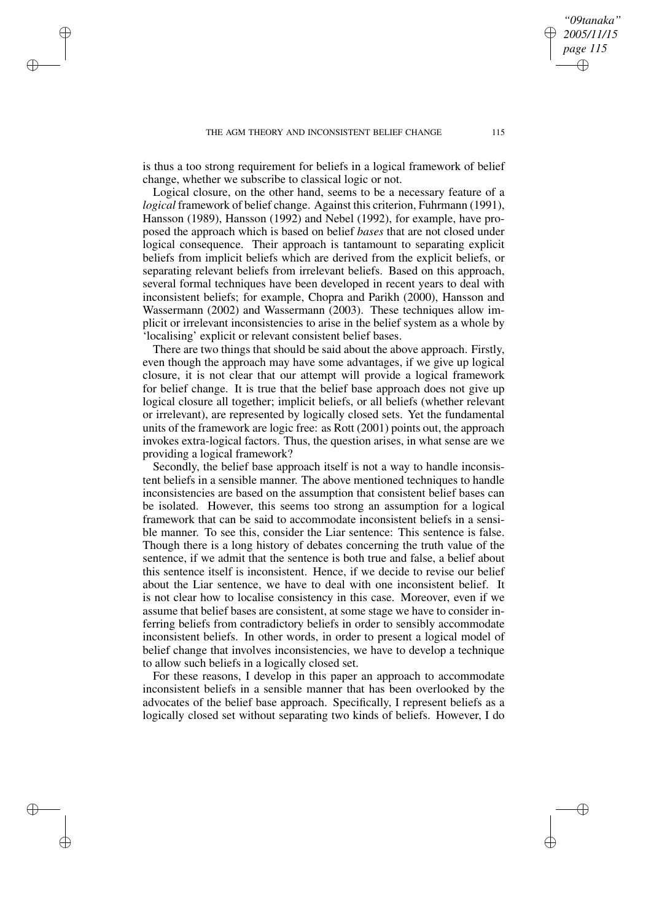✐

✐

✐

is thus a too strong requirement for beliefs in a logical framework of belief change, whether we subscribe to classical logic or not.

Logical closure, on the other hand, seems to be a necessary feature of a *logical* framework of belief change. Against this criterion, Fuhrmann (1991), Hansson (1989), Hansson (1992) and Nebel (1992), for example, have proposed the approach which is based on belief *bases* that are not closed under logical consequence. Their approach is tantamount to separating explicit beliefs from implicit beliefs which are derived from the explicit beliefs, or separating relevant beliefs from irrelevant beliefs. Based on this approach, several formal techniques have been developed in recent years to deal with inconsistent beliefs; for example, Chopra and Parikh (2000), Hansson and Wassermann (2002) and Wassermann (2003). These techniques allow implicit or irrelevant inconsistencies to arise in the belief system as a whole by 'localising' explicit or relevant consistent belief bases.

There are two things that should be said about the above approach. Firstly, even though the approach may have some advantages, if we give up logical closure, it is not clear that our attempt will provide a logical framework for belief change. It is true that the belief base approach does not give up logical closure all together; implicit beliefs, or all beliefs (whether relevant or irrelevant), are represented by logically closed sets. Yet the fundamental units of the framework are logic free: as Rott (2001) points out, the approach invokes extra-logical factors. Thus, the question arises, in what sense are we providing a logical framework?

Secondly, the belief base approach itself is not a way to handle inconsistent beliefs in a sensible manner. The above mentioned techniques to handle inconsistencies are based on the assumption that consistent belief bases can be isolated. However, this seems too strong an assumption for a logical framework that can be said to accommodate inconsistent beliefs in a sensible manner. To see this, consider the Liar sentence: This sentence is false. Though there is a long history of debates concerning the truth value of the sentence, if we admit that the sentence is both true and false, a belief about this sentence itself is inconsistent. Hence, if we decide to revise our belief about the Liar sentence, we have to deal with one inconsistent belief. It is not clear how to localise consistency in this case. Moreover, even if we assume that belief bases are consistent, at some stage we have to consider inferring beliefs from contradictory beliefs in order to sensibly accommodate inconsistent beliefs. In other words, in order to present a logical model of belief change that involves inconsistencies, we have to develop a technique to allow such beliefs in a logically closed set.

For these reasons, I develop in this paper an approach to accommodate inconsistent beliefs in a sensible manner that has been overlooked by the advocates of the belief base approach. Specifically, I represent beliefs as a logically closed set without separating two kinds of beliefs. However, I do

*"09tanaka" 2005/11/15 page 115*

✐

✐

✐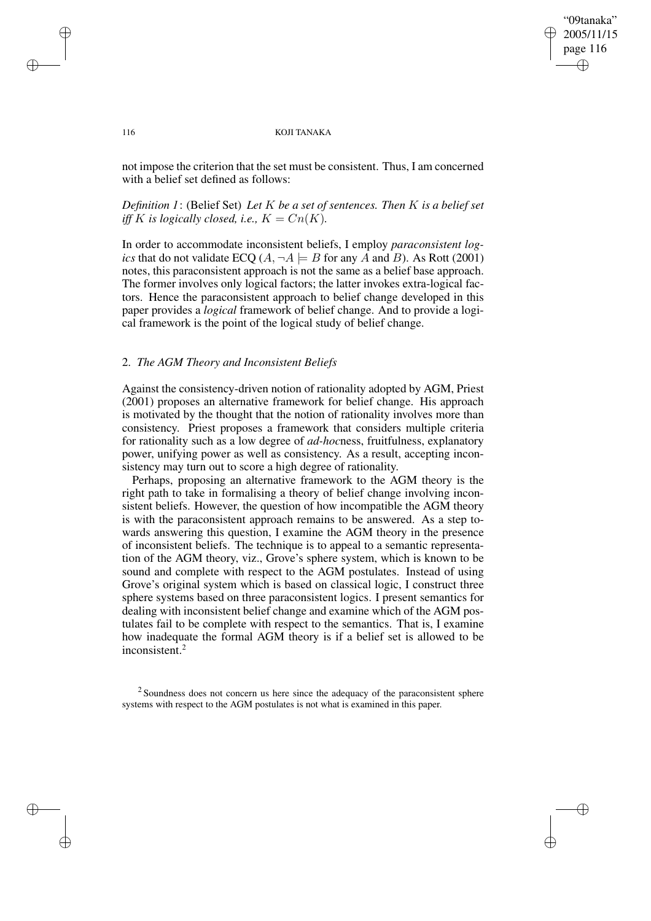✐

#### 116 KOJI TANAKA

not impose the criterion that the set must be consistent. Thus, I am concerned with a belief set defined as follows:

## *Definition 1*: (Belief Set) *Let* K *be a set of sentences. Then* K *is a belief set iff* K is logically closed, i.e.,  $K = Cn(K)$ .

In order to accommodate inconsistent beliefs, I employ *paraconsistent logics* that do not validate ECQ  $(A, \neg A \models B$  for any A and B). As Rott (2001) notes, this paraconsistent approach is not the same as a belief base approach. The former involves only logical factors; the latter invokes extra-logical factors. Hence the paraconsistent approach to belief change developed in this paper provides a *logical* framework of belief change. And to provide a logical framework is the point of the logical study of belief change.

## 2. *The AGM Theory and Inconsistent Beliefs*

Against the consistency-driven notion of rationality adopted by AGM, Priest (2001) proposes an alternative framework for belief change. His approach is motivated by the thought that the notion of rationality involves more than consistency. Priest proposes a framework that considers multiple criteria for rationality such as a low degree of *ad-hoc*ness, fruitfulness, explanatory power, unifying power as well as consistency. As a result, accepting inconsistency may turn out to score a high degree of rationality.

Perhaps, proposing an alternative framework to the AGM theory is the right path to take in formalising a theory of belief change involving inconsistent beliefs. However, the question of how incompatible the AGM theory is with the paraconsistent approach remains to be answered. As a step towards answering this question, I examine the AGM theory in the presence of inconsistent beliefs. The technique is to appeal to a semantic representation of the AGM theory, viz., Grove's sphere system, which is known to be sound and complete with respect to the AGM postulates. Instead of using Grove's original system which is based on classical logic, I construct three sphere systems based on three paraconsistent logics. I present semantics for dealing with inconsistent belief change and examine which of the AGM postulates fail to be complete with respect to the semantics. That is, I examine how inadequate the formal AGM theory is if a belief set is allowed to be inconsistent.<sup>2</sup>

 $2$  Soundness does not concern us here since the adequacy of the paraconsistent sphere systems with respect to the AGM postulates is not what is examined in this paper.

✐

✐

✐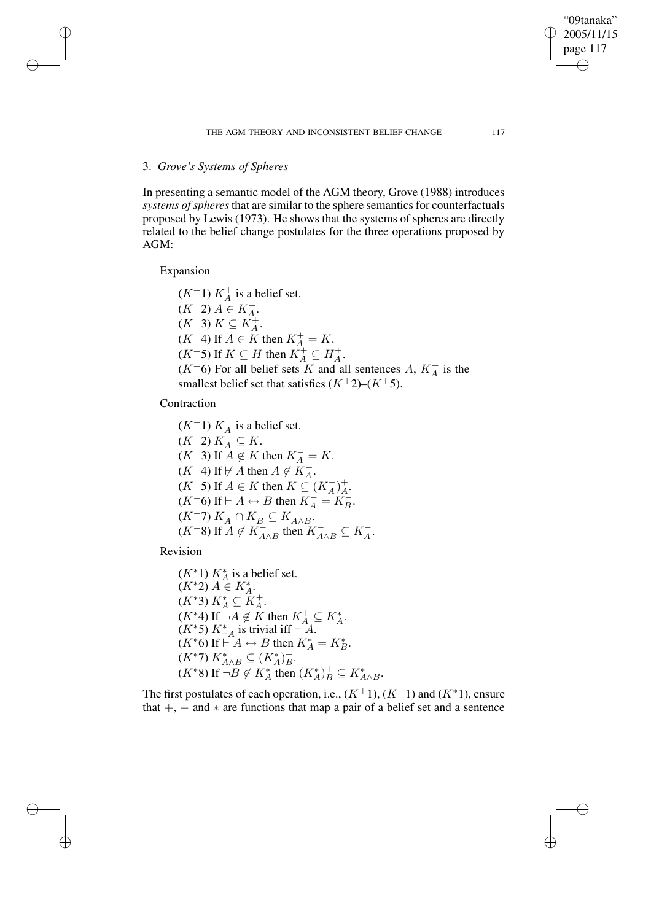#### THE AGM THEORY AND INCONSISTENT BELIEF CHANGE 117

## 3. *Grove's Systems of Spheres*

In presenting a semantic model of the AGM theory, Grove (1988) introduces *systems of spheres* that are similar to the sphere semantics for counterfactuals proposed by Lewis (1973). He shows that the systems of spheres are directly related to the belief change postulates for the three operations proposed by AGM:

Expansion

✐

✐

✐

✐

 $(K^+1) K_A^+$  is a belief set.  $(K^+2) A \in K_A^+$ .  $(K^+3) K \subseteq K_A^+$ .  $(K^+4)$  If  $A \in K$  then  $K_A^+ = K$ .  $(K^+5)$  If  $K \subseteq H$  then  $K_A^+ \subseteq H_A^+$ .  $(K^+6)$  For all belief sets K and all sentences A,  $K_A^+$  is the smallest belief set that satisfies  $(K^+2)$ – $(K^+5)$ .

Contraction

 $(K^-1) K_A^-$  is a belief set.  $(K^-2) K_A^{\mathcal{A}} \subseteq K.$  $(K^-3)$  If  $A \notin K$  then  $K_A^- = K$ .  $(K^-4)$  If  $\nvdash A$  then  $A \notin K^-_A$ .  $(K^-5)$  If  $A \in K$  then  $K \subseteq (K_A^-)_A^+$ .  $(K^-6)$  If  $\vdash A \leftrightarrow B$  then  $K^-_A = K^-_B$ .  $(K^-7) K^-_A \cap K^-_B \subseteq K^-_{A \wedge B}$  $(K^{-}8)$  If  $A \notin K_{A \wedge B}^{-}$  then  $K_{A \wedge B}^{-} \subseteq K_A^{-}$ .

Revision

 $(K^*1) K_A^*$  is a belief set.  $(K^*2) A \in K_A^*$ .  $(K^*3) K_A^* \subseteq K_A^+.$  $(K^*4)$  If  $\neg A \notin K$  then  $K_A^+ \subseteq K_A^*$ .  $(K^*5) K^*_{-A}$  is trivial iff  $\vdash^A A$ .  $(K^*6)$  If  $\stackrel{\cdot A}{\vdash} A \leftrightarrow B$  then  $K_A^* = K_B^*$ .  $(K^*7) K^*_{A \wedge B} \subseteq (K^*_A)^+_B.$  $(K^*8)$  If  $\neg B \notin K_A^*$  then  $(K_A^*)_B^+ \subseteq K_{A \wedge B}^*$ .

The first postulates of each operation, i.e.,  $(K^+1)$ ,  $(K^-1)$  and  $(K^*1)$ , ensure that  $+$ ,  $-$  and  $*$  are functions that map a pair of a belief set and a sentence

"09tanaka" 2005/11/15 page 117

✐

✐

✐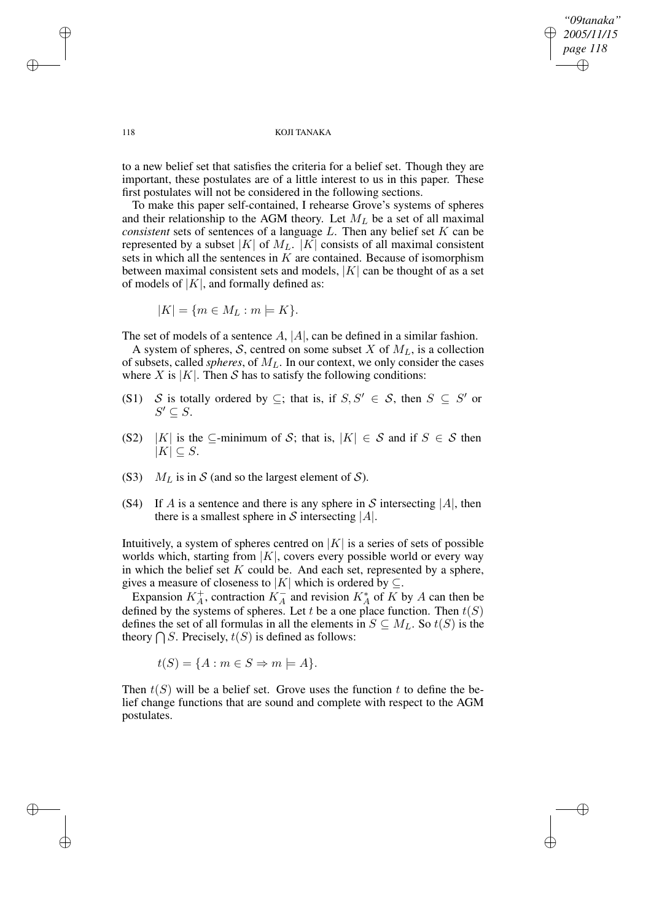*"09tanaka" 2005/11/15 page 118* ✐ ✐

✐

✐

#### 118 KOJI TANAKA

to a new belief set that satisfies the criteria for a belief set. Though they are important, these postulates are of a little interest to us in this paper. These first postulates will not be considered in the following sections.

To make this paper self-contained, I rehearse Grove's systems of spheres and their relationship to the AGM theory. Let  $M_L$  be a set of all maximal *consistent* sets of sentences of a language L. Then any belief set K can be represented by a subset |K| of  $M_L$ . |K| consists of all maximal consistent sets in which all the sentences in  $K$  are contained. Because of isomorphism between maximal consistent sets and models,  $|K|$  can be thought of as a set of models of  $|K|$ , and formally defined as:

$$
|K| = \{m \in M_L : m \models K\}.
$$

The set of models of a sentence  $A$ ,  $|A|$ , can be defined in a similar fashion.

A system of spheres, S, centred on some subset X of  $M_L$ , is a collection of subsets, called *spheres*, of  $M_L$ . In our context, we only consider the cases where X is  $|K|$ . Then S has to satisfy the following conditions:

- (S1) S is totally ordered by  $\subseteq$ ; that is, if  $S, S' \in S$ , then  $S \subseteq S'$  or  $S' \subseteq S$ .
- (S2) |K| is the ⊆-minimum of S; that is,  $|K| \in S$  and if  $S \in S$  then  $|K| \subset S$ .
- (S3)  $M_L$  is in S (and so the largest element of S).
- (S4) If A is a sentence and there is any sphere in S intersecting  $|A|$ , then there is a smallest sphere in S intersecting  $|A|$ .

Intuitively, a system of spheres centred on  $|K|$  is a series of sets of possible worlds which, starting from  $|K|$ , covers every possible world or every way in which the belief set  $K$  could be. And each set, represented by a sphere, gives a measure of closeness to |K| which is ordered by  $\subseteq$ .

Expansion  $K_A^+$ , contraction  $K_A^-$  and revision  $K_A^*$  of  $\overline{K}$  by  $A$  can then be defined by the systems of spheres. Let t be a one place function. Then  $t(S)$ defines the set of all formulas in all the elements in  $S \subseteq M_L$ . So  $t(S)$  is the theory  $\bigcap S$ . Precisely,  $t(S)$  is defined as follows:

$$
t(S) = \{A : m \in S \Rightarrow m \models A\}.
$$

Then  $t(S)$  will be a belief set. Grove uses the function t to define the belief change functions that are sound and complete with respect to the AGM postulates.

✐

✐

✐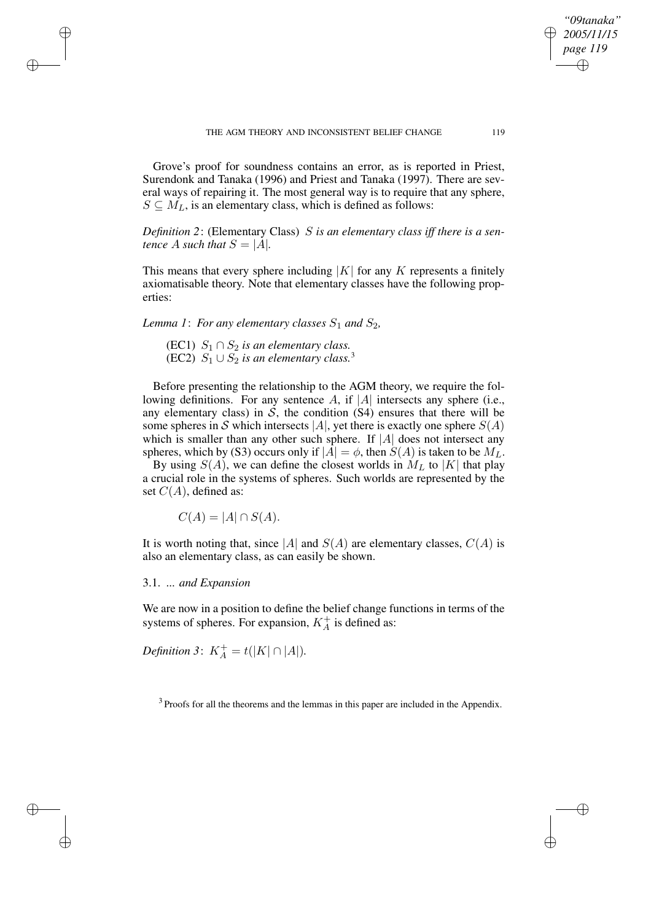Grove's proof for soundness contains an error, as is reported in Priest, Surendonk and Tanaka (1996) and Priest and Tanaka (1997). There are several ways of repairing it. The most general way is to require that any sphere,  $S \subseteq M_L$ , is an elementary class, which is defined as follows:

*Definition 2*: (Elementary Class) S *is an elementary class iff there is a sentence A such that*  $S = |A|$ *.* 

This means that every sphere including  $|K|$  for any K represents a finitely axiomatisable theory. Note that elementary classes have the following properties:

*Lemma* 1: *For any elementary classes*  $S_1$  *and*  $S_2$ *,* 

(EC1)  $S_1 \cap S_2$  *is an elementary class.* (EC2)  $S_1 \cup S_2$  *is an elementary class.*<sup>3</sup>

Before presenting the relationship to the AGM theory, we require the following definitions. For any sentence A, if  $|A|$  intersects any sphere (i.e., any elementary class) in  $S$ , the condition  $(S4)$  ensures that there will be some spheres in S which intersects |A|, yet there is exactly one sphere  $S(A)$ which is smaller than any other such sphere. If  $|A|$  does not intersect any spheres, which by (S3) occurs only if  $|A| = \phi$ , then  $S(A)$  is taken to be  $M_L$ .

By using  $S(A)$ , we can define the closest worlds in  $M<sub>L</sub>$  to |K| that play a crucial role in the systems of spheres. Such worlds are represented by the set  $C(A)$ , defined as:

 $C(A) = |A| \cap S(A).$ 

It is worth noting that, since |A| and  $S(A)$  are elementary classes,  $C(A)$  is also an elementary class, as can easily be shown.

3.1. *... and Expansion*

✐

✐

✐

✐

We are now in a position to define the belief change functions in terms of the systems of spheres. For expansion,  $K_A^+$  is defined as:

*Definition* 3:  $K_A^+ = t(|K| \cap |A|)$ *.* 

 $3$  Proofs for all the theorems and the lemmas in this paper are included in the Appendix.

*"09tanaka" 2005/11/15 page 119*

✐

✐

✐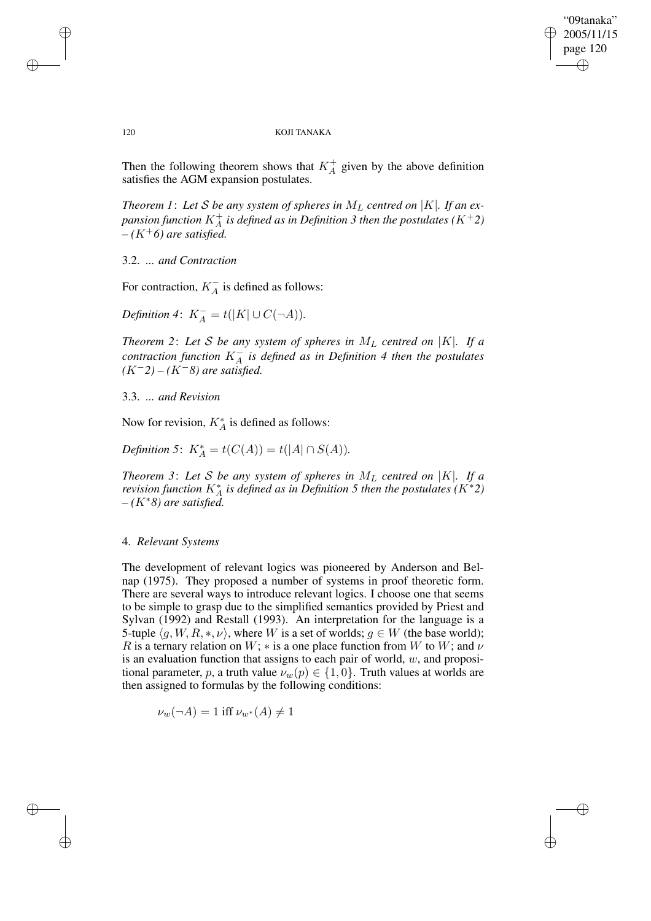✐

#### 120 KOJI TANAKA

Then the following theorem shows that  $K_A^+$  given by the above definition satisfies the AGM expansion postulates.

*Theorem 1: Let S be any system of spheres in*  $M_L$  *centred on*  $|K|$ *. If an ex*pansion function  $K^+_A$  is defined as in Definition 3 then the postulates  $(K^+2)$  $-(K^+6)$  *are satisfied.* 

## 3.2. *... and Contraction*

For contraction,  $K_A^-$  is defined as follows:

*Definition* 4:  $K_A^- = t(|K| \cup C(\neg A)).$ 

*Theorem* 2: Let *S* be any system of spheres in  $M<sub>L</sub>$  centred on |K|. If a *contraction function* K<sup>−</sup> A *is defined as in Definition 4 then the postulates (*K−*2) – (*K−*8) are satisfied.*

3.3. *... and Revision*

Now for revision,  $K_A^*$  is defined as follows:

*Definition* 5:  $K_A^* = t(C(A)) = t(|A| \cap S(A)).$ 

*Theorem* 3: Let *S* be any system of spheres in  $M_L$  centred on |K|. If a *revision function* K<sup>∗</sup> A *is defined as in Definition 5 then the postulates (*K∗*2) – (*K∗*8) are satisfied.*

## 4. *Relevant Systems*

The development of relevant logics was pioneered by Anderson and Belnap (1975). They proposed a number of systems in proof theoretic form. There are several ways to introduce relevant logics. I choose one that seems to be simple to grasp due to the simplified semantics provided by Priest and Sylvan (1992) and Restall (1993). An interpretation for the language is a 5-tuple  $\langle g, W, R, *, \nu \rangle$ , where W is a set of worlds;  $g \in W$  (the base world); R is a ternary relation on W;  $*$  is a one place function from W to W; and  $\nu$ is an evaluation function that assigns to each pair of world,  $w$ , and propositional parameter, p, a truth value  $\nu_w(p) \in \{1,0\}$ . Truth values at worlds are then assigned to formulas by the following conditions:

$$
\nu_w(\neg A) = 1 \text{ iff } \nu_{w^*}(A) \neq 1
$$

✐

✐

✐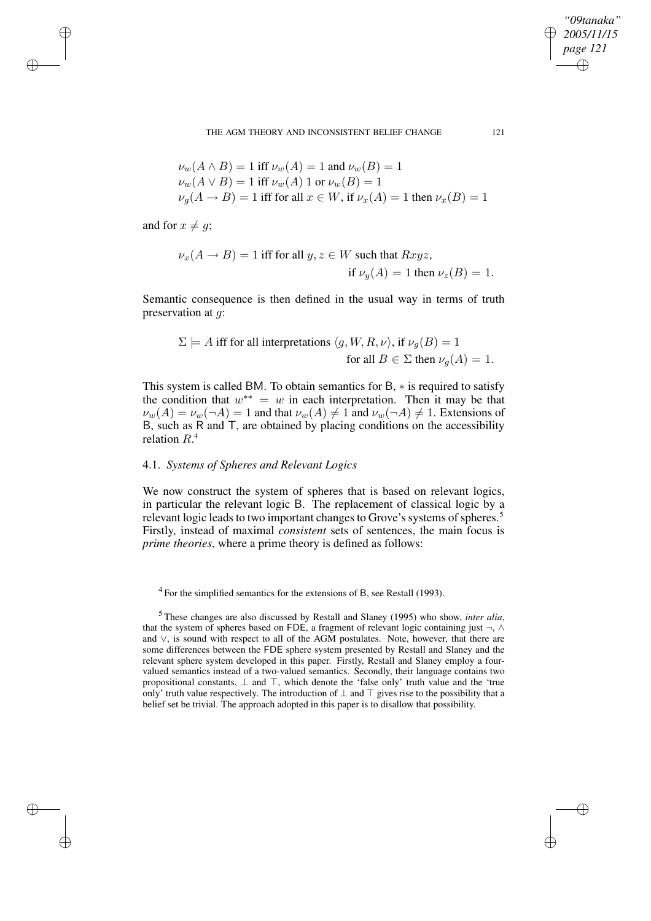THE AGM THEORY AND INCONSISTENT BELIEF CHANGE 121

$$
\nu_w(A \wedge B) = 1 \text{ iff } \nu_w(A) = 1 \text{ and } \nu_w(B) = 1
$$
  

$$
\nu_w(A \vee B) = 1 \text{ iff } \nu_w(A) \text{ 1 or } \nu_w(B) = 1
$$
  

$$
\nu_g(A \rightarrow B) = 1 \text{ iff for all } x \in W, \text{ if } \nu_x(A) = 1 \text{ then } \nu_x(B) = 1
$$

and for  $x \neq g$ ;

✐

✐

✐

✐

$$
\nu_x(A \to B) = 1 \text{ iff for all } y, z \in W \text{ such that } Rxyz,
$$
  
if  $\nu_y(A) = 1$  then  $\nu_z(B) = 1$ .

Semantic consequence is then defined in the usual way in terms of truth preservation at g:

 $\Sigma \models A$  iff for all interpretations  $\langle g, W, R, \nu \rangle$ , if  $\nu_q(B) = 1$ for all  $B \in \Sigma$  then  $\nu_q(A) = 1$ .

This system is called BM. To obtain semantics for B, ∗ is required to satisfy the condition that  $w^{**} = w$  in each interpretation. Then it may be that  $\nu_w(A) = \nu_w(\neg A) = 1$  and that  $\nu_w(A) \neq 1$  and  $\nu_w(\neg A) \neq 1$ . Extensions of  $\overline{B}$ , such as  $\overline{R}$  and  $\overline{T}$ , are obtained by placing conditions on the accessibility relation  $R^4$ .

## 4.1. *Systems of Spheres and Relevant Logics*

We now construct the system of spheres that is based on relevant logics, in particular the relevant logic B. The replacement of classical logic by a relevant logic leads to two important changes to Grove's systems of spheres.<sup>5</sup> Firstly, instead of maximal *consistent* sets of sentences, the main focus is *prime theories*, where a prime theory is defined as follows:

 $4$  For the simplified semantics for the extensions of B, see Restall (1993).

<sup>5</sup> These changes are also discussed by Restall and Slaney (1995) who show, *inter alia*, that the system of spheres based on FDE, a fragment of relevant logic containing just  $\neg$ ,  $\wedge$ and ∨, is sound with respect to all of the AGM postulates. Note, however, that there are some differences between the FDE sphere system presented by Restall and Slaney and the relevant sphere system developed in this paper. Firstly, Restall and Slaney employ a fourvalued semantics instead of a two-valued semantics. Secondly, their language contains two propositional constants,  $\perp$  and  $\top$ , which denote the 'false only' truth value and the 'true only' truth value respectively. The introduction of  $\perp$  and  $\top$  gives rise to the possibility that a belief set be trivial. The approach adopted in this paper is to disallow that possibility.

*"09tanaka" 2005/11/15 page 121*

✐

✐

✐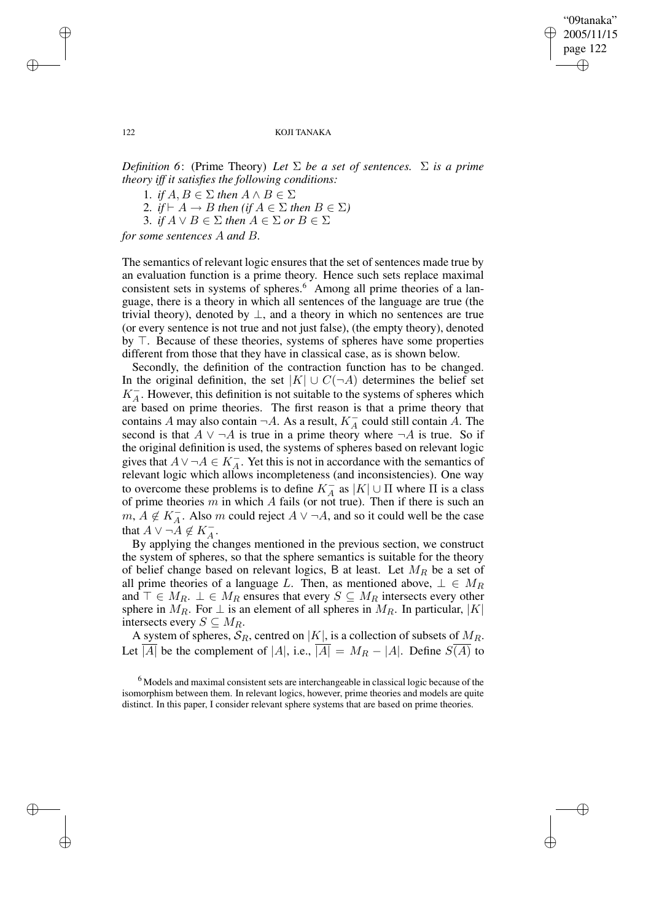✐

122 KOJI TANAKA

*Definition* 6: (Prime Theory) *Let*  $\Sigma$  *be a set of sentences.*  $\Sigma$  *is a prime theory iff it satisfies the following conditions:*

1. *if*  $A, B \in \Sigma$  *then*  $A \wedge B \in \Sigma$ 

2. *if*  $\vdash A \rightarrow B$  *then* (*if*  $A \in \Sigma$  *then*  $B \in \Sigma$ )

3. *if*  $A \lor B \in \Sigma$  *then*  $A \in \Sigma$  *or*  $B \in \Sigma$ 

*for some sentences* A *and* B*.*

The semantics of relevant logic ensures that the set of sentences made true by an evaluation function is a prime theory. Hence such sets replace maximal consistent sets in systems of spheres.<sup>6</sup> Among all prime theories of a language, there is a theory in which all sentences of the language are true (the trivial theory), denoted by  $\perp$ , and a theory in which no sentences are true (or every sentence is not true and not just false), (the empty theory), denoted by  $\top$ . Because of these theories, systems of spheres have some properties different from those that they have in classical case, as is shown below.

Secondly, the definition of the contraction function has to be changed. In the original definition, the set  $|K| \cup C(\neg A)$  determines the belief set  $K_A^-$ . However, this definition is not suitable to the systems of spheres which are based on prime theories. The first reason is that a prime theory that contains A may also contain  $\neg A$ . As a result,  $K_A^-$  could still contain A. The second is that  $A \vee \neg A$  is true in a prime theory where  $\neg A$  is true. So if the original definition is used, the systems of spheres based on relevant logic gives that  $A \vee \neg A \in K_A^-$ . Yet this is not in accordance with the semantics of relevant logic which allows incompleteness (and inconsistencies). One way to overcome these problems is to define  $K_A^{\rightarrow}$  as  $|K| \cup \Pi$  where  $\Pi$  is a class of prime theories  $m$  in which  $A$  fails (or not true). Then if there is such an  $m, A \notin K_A^-$ . Also m could reject  $A \lor \neg A$ , and so it could well be the case that  $A \vee \neg A \notin K_A^-$ .

By applying the changes mentioned in the previous section, we construct the system of spheres, so that the sphere semantics is suitable for the theory of belief change based on relevant logics, B at least. Let  $M_R$  be a set of all prime theories of a language L. Then, as mentioned above,  $\bot \in M_R$ and  $\top \in M_R$ .  $\bot \in M_R$  ensures that every  $S \subseteq M_R$  intersects every other sphere in  $M_R$ . For  $\perp$  is an element of all spheres in  $M_R$ . In particular,  $|K|$ intersects every  $S \subseteq M_R$ .

A system of spheres,  $S_R$ , centred on |K|, is a collection of subsets of  $M_R$ . Let  $\overline{|A|}$  be the complement of  $|A|$ , i.e.,  $\overline{|A|} = M_R - |A|$ . Define  $S(\overline{A})$  to

✐

✐

✐

<sup>6</sup> Models and maximal consistent sets are interchangeable in classical logic because of the isomorphism between them. In relevant logics, however, prime theories and models are quite distinct. In this paper, I consider relevant sphere systems that are based on prime theories.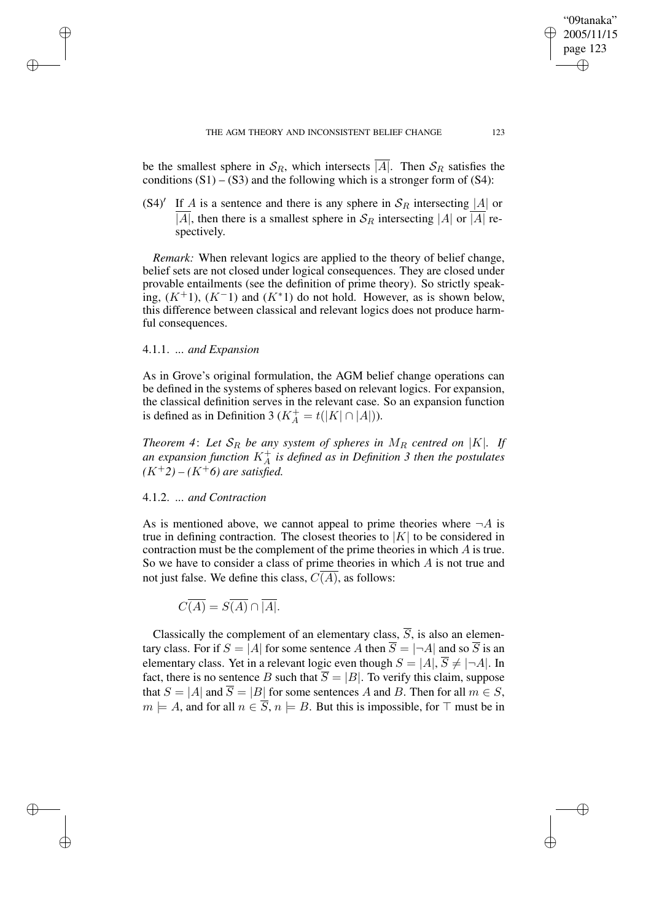be the smallest sphere in  $S_R$ , which intersects  $\overline{A}$ . Then  $S_R$  satisfies the conditions  $(S1) - (S3)$  and the following which is a stronger form of  $(S4)$ :

 $(S4)'$  If A is a sentence and there is any sphere in  $S_R$  intersecting |A| or |A|, then there is a smallest sphere in  $S_R$  intersecting |A| or |A| respectively.

*Remark:* When relevant logics are applied to the theory of belief change, belief sets are not closed under logical consequences. They are closed under provable entailments (see the definition of prime theory). So strictly speaking,  $(K^{\perp}1)$ ,  $(K^{\perp}1)$  and  $(K^*1)$  do not hold. However, as is shown below, this difference between classical and relevant logics does not produce harmful consequences.

## 4.1.1. *... and Expansion*

✐

✐

✐

✐

As in Grove's original formulation, the AGM belief change operations can be defined in the systems of spheres based on relevant logics. For expansion, the classical definition serves in the relevant case. So an expansion function is defined as in Definition 3 ( $K_A^+ = t(|K| \cap |A|)$ ).

*Theorem* 4: Let  $S_R$  be any system of spheres in  $M_R$  centred on |K|. If *an expansion function* K<sup>+</sup> A *is defined as in Definition 3 then the postulates*  $(K^+2) - (K^+6)$  *are satisfied.* 

## 4.1.2. *... and Contraction*

As is mentioned above, we cannot appeal to prime theories where  $\neg A$  is true in defining contraction. The closest theories to  $|K|$  to be considered in contraction must be the complement of the prime theories in which A is true. So we have to consider a class of prime theories in which  $A$  is not true and not just false. We define this class,  $C(A)$ , as follows:

 $\overline{C(A)} = \overline{S(A)} \cap \overline{[A]}$ .

Classically the complement of an elementary class,  $\overline{S}$ , is also an elementary class. For if  $S = |A|$  for some sentence A then  $\overline{S} = |\neg A|$  and so  $\overline{S}$  is an elementary class. Yet in a relevant logic even though  $S = |A|$ ,  $\overline{S} \neq |\neg A|$ . In fact, there is no sentence B such that  $\overline{S} = |B|$ . To verify this claim, suppose that  $S = |A|$  and  $\overline{S} = |B|$  for some sentences A and B. Then for all  $m \in S$ ,  $m \models A$ , and for all  $n \in \overline{S}$ ,  $n \models B$ . But this is impossible, for  $\top$  must be in

"09tanaka" 2005/11/15 page 123

✐

✐

✐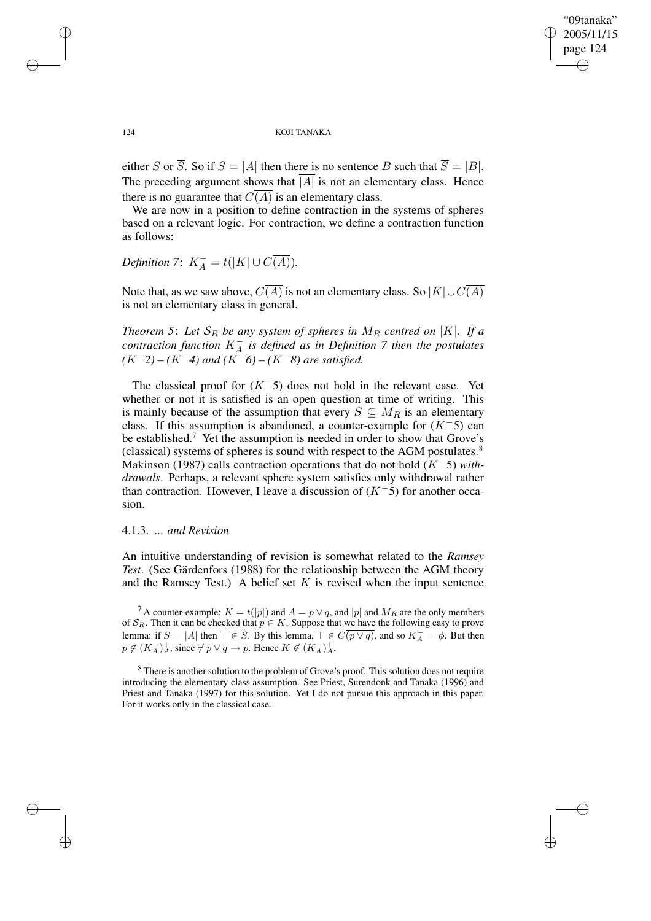"09tanaka" 2005/11/15 page 124 ✐ ✐

✐

✐

#### 124 KOJI TANAKA

either S or  $\overline{S}$ . So if  $S = |A|$  then there is no sentence B such that  $\overline{S} = |B|$ . The preceding argument shows that  $|A|$  is not an elementary class. Hence there is no guarantee that  $C(A)$  is an elementary class.

We are now in a position to define contraction in the systems of spheres based on a relevant logic. For contraction, we define a contraction function as follows:

*Definition* 7:  $K_A^- = t(|K| \cup C(\overline{A}))$ *.* 

Note that, as we saw above,  $C(\overline{A})$  is not an elementary class. So  $|K| \cup C(\overline{A})$ is not an elementary class in general.

*Theorem* 5: Let  $S_R$  *be any system of spheres in*  $M_R$  *centred on* |K|*. If a*  $\sum_{i=1}^{n}$  *contraction*  $\sum_{i=1}^{n}$  *K*<sub>A</sub> *is defined as in Definition 7 then the postulates*  $(K^-2) - (K^-4)$  *and*  $(K^-6) - (K^-8)$  *are satisfied.* 

The classical proof for  $(K<sup>-5</sup>)$  does not hold in the relevant case. Yet whether or not it is satisfied is an open question at time of writing. This is mainly because of the assumption that every  $S \subseteq M_R$  is an elementary class. If this assumption is abandoned, a counter-example for  $(K<sup>-5</sup>)$  can be established.<sup>7</sup> Yet the assumption is needed in order to show that Grove's (classical) systems of spheres is sound with respect to the AGM postulates.<sup>8</sup> Makinson (1987) calls contraction operations that do not hold (K−5) *withdrawals*. Perhaps, a relevant sphere system satisfies only withdrawal rather than contraction. However, I leave a discussion of  $(K^-5)$  for another occasion.

## 4.1.3. *... and Revision*

An intuitive understanding of revision is somewhat related to the *Ramsey Test*. (See Gärdenfors (1988) for the relationship between the AGM theory and the Ramsey Test.) A belief set  $K$  is revised when the input sentence

<sup>7</sup> A counter-example:  $K = t(|p|)$  and  $A = p \vee q$ , and |p| and  $M_R$  are the only members of  $S_R$ . Then it can be checked that  $p \in K$ . Suppose that we have the following easy to prove lemma: if  $S = |A|$  then  $\top \in \overline{S}$ . By this lemma,  $\top \in C(p \vee q)$ , and so  $K_A^- = \phi$ . But then  $p \notin (K_A^-)_A^+$ , since  $\nvdash p \lor q \to p$ . Hence  $K \notin (K_A^-)_A^+$ .

<sup>8</sup> There is another solution to the problem of Grove's proof. This solution does not require introducing the elementary class assumption. See Priest, Surendonk and Tanaka (1996) and Priest and Tanaka (1997) for this solution. Yet I do not pursue this approach in this paper. For it works only in the classical case.

✐

✐

✐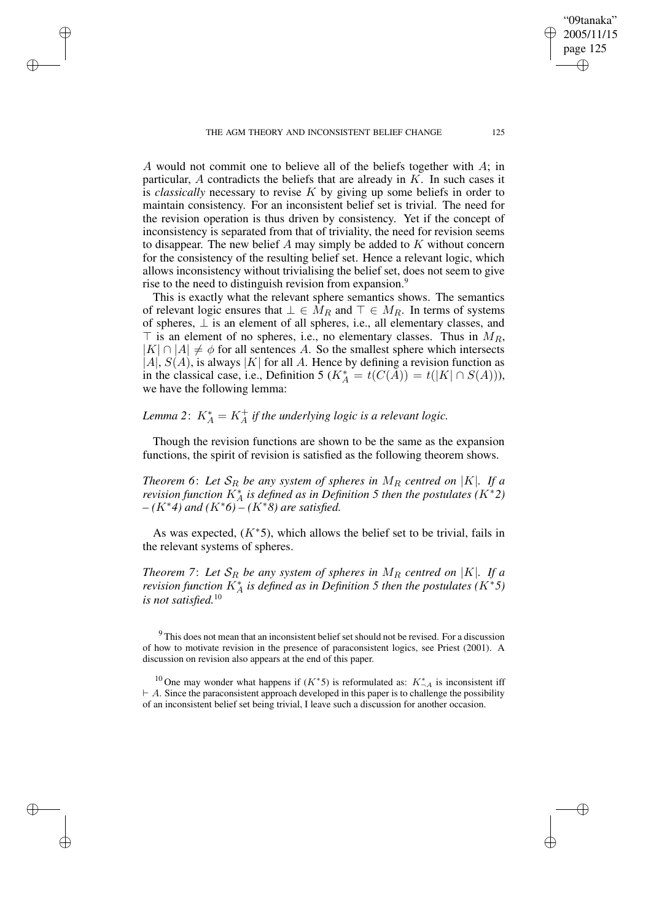✐

✐

✐

A would not commit one to believe all of the beliefs together with A; in particular,  $A$  contradicts the beliefs that are already in  $K$ . In such cases it is *classically* necessary to revise K by giving up some beliefs in order to maintain consistency. For an inconsistent belief set is trivial. The need for the revision operation is thus driven by consistency. Yet if the concept of inconsistency is separated from that of triviality, the need for revision seems to disappear. The new belief A may simply be added to  $K$  without concern for the consistency of the resulting belief set. Hence a relevant logic, which allows inconsistency without trivialising the belief set, does not seem to give rise to the need to distinguish revision from expansion.<sup>9</sup>

This is exactly what the relevant sphere semantics shows. The semantics of relevant logic ensures that  $\bot \in M_R$  and  $\top \in M_R$ . In terms of systems of spheres, ⊥ is an element of all spheres, i.e., all elementary classes, and  $\top$  is an element of no spheres, i.e., no elementary classes. Thus in  $M_R$ ,  $|K| \cap |A| \neq \phi$  for all sentences A. So the smallest sphere which intersects  $|A|, S(A)$ , is always  $|K|$  for all A. Hence by defining a revision function as in the classical case, i.e., Definition 5 ( $K_A^* = t(C(A)) = t(|K| \cap S(A))$ ), we have the following lemma:

# *Lemma* 2:  $K_A^* = K_A^+$  *if the underlying logic is a relevant logic.*

Though the revision functions are shown to be the same as the expansion functions, the spirit of revision is satisfied as the following theorem shows.

*Theorem* 6: Let  $S_R$  be any system of spheres in  $M_R$  centred on |K|. If a *revision function*  $K_A^*$  *is defined as in Definition* 5 *then the postulates*  $(K^*2)$ *– (*K∗*4) and (*K∗*6) – (*K∗*8) are satisfied.*

As was expected,  $(K^*5)$ , which allows the belief set to be trivial, fails in the relevant systems of spheres.

*Theorem* 7: Let  $S_R$  be any system of spheres in  $M_R$  centred on |K|. If a *revision function*  $K_A^*$  *is defined as in Definition* 5 *then the postulates*  $(K^*5)$ *is not satisfied.*<sup>10</sup>

<sup>9</sup> This does not mean that an inconsistent belief set should not be revised. For a discussion of how to motivate revision in the presence of paraconsistent logics, see Priest (2001). A discussion on revision also appears at the end of this paper.

"09tanaka" 2005/11/15 page 125

✐

✐

✐

<sup>&</sup>lt;sup>10</sup> One may wonder what happens if  $(K^*5)$  is reformulated as:  $K_{\neg A}^*$  is inconsistent iff  $\vdash$  A. Since the paraconsistent approach developed in this paper is to challenge the possibility of an inconsistent belief set being trivial, I leave such a discussion for another occasion.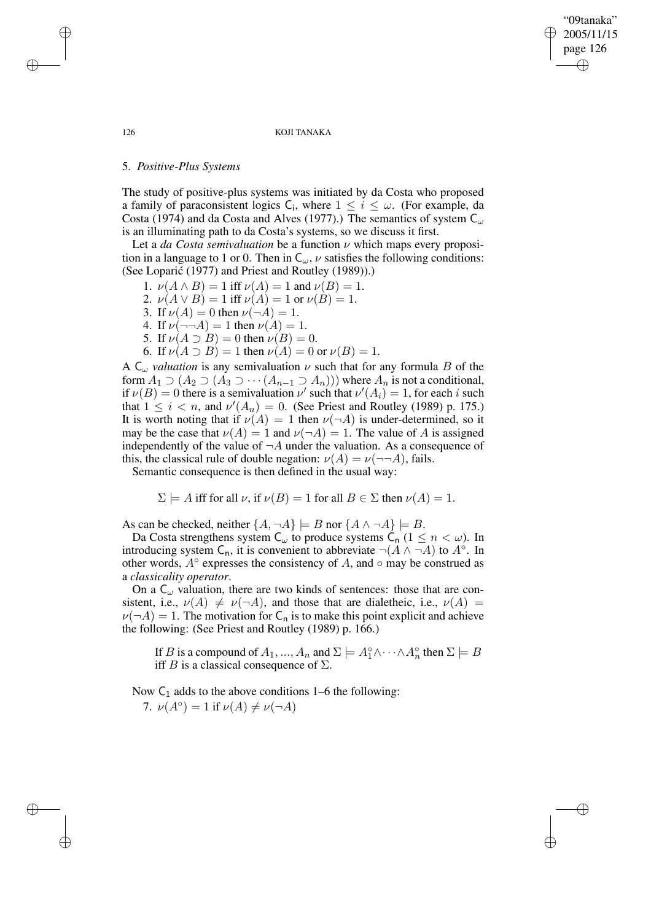"09tanaka" 2005/11/15 page 126 ✐ ✐

✐

✐

#### 126 KOJI TANAKA

## 5. *Positive-Plus Systems*

The study of positive-plus systems was initiated by da Costa who proposed a family of paraconsistent logics C<sub>i</sub>, where  $1 \leq i \leq \omega$ . (For example, da Costa (1974) and da Costa and Alves (1977).) The semantics of system  $C_{\omega}$ is an illuminating path to da Costa's systems, so we discuss it first.

Let a *da Costa semivaluation* be a function ν which maps every proposition in a language to 1 or 0. Then in  $C_{\omega}$ ,  $\nu$  satisfies the following conditions: (See Loparić (1977) and Priest and Routley (1989)).)

- 1.  $\nu(A \wedge B) = 1$  iff  $\nu(A) = 1$  and  $\nu(B) = 1$ .
- 2.  $\nu(A \vee B) = 1$  iff  $\nu(A) = 1$  or  $\nu(B) = 1$ .
- 3. If  $\nu(A) = 0$  then  $\nu(\neg A) = 1$ .
- 4. If  $\nu(\neg\neg A) = 1$  then  $\nu(A) = 1$ .
- 5. If  $\nu(A \supset B) = 0$  then  $\nu(B) = 0$ .
- 6. If  $\nu(A \supset B) = 1$  then  $\nu(A) = 0$  or  $\nu(B) = 1$ .

A  $C_{\omega}$  *valuation* is any semivaluation  $\nu$  such that for any formula B of the form  $A_1 \supset (A_2 \supset (A_3 \supset \cdots (A_{n-1} \supset A_n)))$  where  $A_n$  is not a conditional, if  $\nu(B) = 0$  there is a semivaluation  $\nu'$  such that  $\nu'(A_i) = 1$ , for each i such that  $1 \leq i < n$ , and  $\nu'(A_n) = 0$ . (See Priest and Routley (1989) p. 175.) It is worth noting that if  $\nu(A) = 1$  then  $\nu(\neg A)$  is under-determined, so it may be the case that  $\nu(A) = 1$  and  $\nu(\neg A) = 1$ . The value of A is assigned independently of the value of  $\neg A$  under the valuation. As a consequence of this, the classical rule of double negation:  $\nu(A) = \nu(\neg\neg A)$ , fails.

Semantic consequence is then defined in the usual way:

$$
\Sigma \models A
$$
 iff for all  $\nu$ , if  $\nu(B) = 1$  for all  $B \in \Sigma$  then  $\nu(A) = 1$ .

As can be checked, neither  $\{A, \neg A\} \models B$  nor  $\{A \land \neg A\} \models B$ .

Da Costa strengthens system  $C_{\omega}$  to produce systems  $C_n$  ( $1 \leq n \leq \omega$ ). In introducing system C<sub>n</sub>, it is convenient to abbreviate  $\neg$ ( $A \land \neg A$ ) to  $A^\circ$ . In other words,  $A^\circ$  expresses the consistency of A, and  $\circ$  may be construed as a *classicality operator*.

On a  $C_{\omega}$  valuation, there are two kinds of sentences: those that are consistent, i.e.,  $\nu(A) \neq \nu(\neg A)$ , and those that are dialetheic, i.e.,  $\nu(A)$  =  $\nu(\neg A) = 1$ . The motivation for C<sub>n</sub> is to make this point explicit and achieve the following: (See Priest and Routley (1989) p. 166.)

If B is a compound of  $A_1, ..., A_n$  and  $\Sigma \models A_1^\circ \wedge \cdots \wedge A_n^\circ$  then  $\Sigma \models B$ iff B is a classical consequence of  $\Sigma$ .

Now  $C_1$  adds to the above conditions 1–6 the following:

7.  $\nu(A^{\circ}) = 1$  if  $\nu(A) \neq \nu(\neg A)$ 

✐

✐

✐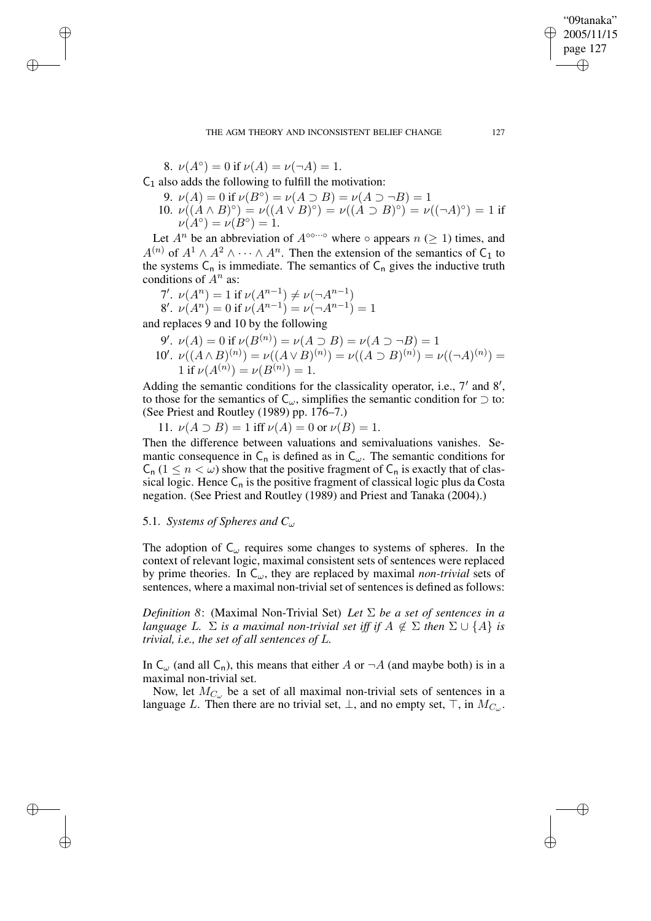THE AGM THEORY AND INCONSISTENT BELIEF CHANGE 127

8.  $\nu(A^{\circ}) = 0$  if  $\nu(A) = \nu(\neg A) = 1$ .

✐

✐

✐

✐

 $C_1$  also adds the following to fulfill the motivation:

- 9.  $\nu(A) = 0$  if  $\nu(B^{\circ}) = \nu(A \supset B) = \nu(A \supset \neg B) = 1$ 10.  $\nu((A \wedge B)^{\circ}) = \nu((A \vee B)^{\circ}) = \nu((A \supset B)^{\circ}) = \nu((\neg A)^{\circ}) = 1$  if
- $\nu(A^{\circ}) = \nu(B^{\circ}) = 1.$

Let  $A^n$  be an abbreviation of  $A^{\circ \circ \cdots \circ}$  where  $\circ$  appears  $n \geq 1$ ) times, and  $A^{(n)}$  of  $A^1 \wedge A^2 \wedge \cdots \wedge A^n$ . Then the extension of the semantics of C<sub>1</sub> to the systems  $C_n$  is immediate. The semantics of  $C_n$  gives the inductive truth conditions of  $A<sup>n</sup>$  as:

7'. 
$$
\nu(A^n) = 1
$$
 if  $\nu(A^{n-1}) \neq \nu(\neg A^{n-1})$   
8'.  $\nu(A^n) = 0$  if  $\nu(A^{n-1}) = \nu(\neg A^{n-1}) = 1$ 

and replaces 9 and 10 by the following

9'. 
$$
\nu(A) = 0
$$
 if  $\nu(B^{(n)}) = \nu(A \supset B) = \nu(A \supset \neg B) = 1$   
10'.  $\nu((A \wedge B)^{(n)}) = \nu((A \vee B)^{(n)}) = \nu((A \supset B)^{(n)}) = \nu((\neg A)^{(n)}) = 1$  if  $\nu(A^{(n)}) = \nu(B^{(n)}) = 1$ .

Adding the semantic conditions for the classicality operator, i.e.,  $7'$  and  $8'$ , to those for the semantics of  $C_{\omega}$ , simplifies the semantic condition for  $\supset$  to: (See Priest and Routley (1989) pp. 176–7.)

11.  $\nu(A \supset B) = 1$  iff  $\nu(A) = 0$  or  $\nu(B) = 1$ .

Then the difference between valuations and semivaluations vanishes. Semantic consequence in  $C_n$  is defined as in  $C_\omega$ . The semantic conditions for  $C_n$  ( $1 \le n < \omega$ ) show that the positive fragment of  $C_n$  is exactly that of classical logic. Hence  $C_n$  is the positive fragment of classical logic plus da Costa negation. (See Priest and Routley (1989) and Priest and Tanaka (2004).)

## 5.1. *Systems of Spheres and*  $C_{\omega}$

The adoption of  $C_{\omega}$  requires some changes to systems of spheres. In the context of relevant logic, maximal consistent sets of sentences were replaced by prime theories. In  $C_{\omega}$ , they are replaced by maximal *non-trivial* sets of sentences, where a maximal non-trivial set of sentences is defined as follows:

*Definition* 8: (Maximal Non-Trivial Set) *Let*  $\Sigma$  *be a set of sentences in a language* L.  $\Sigma$  *is a maximal non-trivial set iff if*  $A \notin \Sigma$  *then*  $\Sigma \cup \{A\}$  *is trivial, i.e., the set of all sentences of* L*.*

In  $C_{\omega}$  (and all  $C_n$ ), this means that either A or  $\neg A$  (and maybe both) is in a maximal non-trivial set.

Now, let  $M_{C_{\omega}}$  be a set of all maximal non-trivial sets of sentences in a language L. Then there are no trivial set,  $\perp$ , and no empty set,  $\top$ , in  $M_{C_{\omega}}$ .

"09tanaka" 2005/11/15 page 127

✐

✐

✐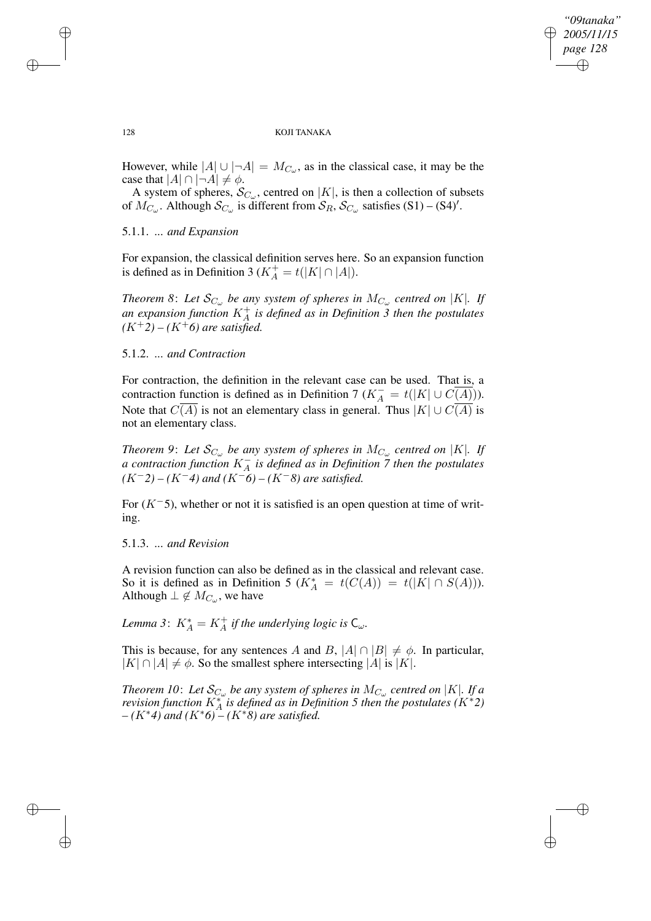✐

#### 128 KOJI TANAKA

However, while  $|A| \cup |\neg A| = M_{C_{\omega}}$ , as in the classical case, it may be the case that  $|A| \cap |\neg A| \neq \phi$ .

A system of spheres,  $\mathcal{S}_{C_{\omega}}$ , centred on |K|, is then a collection of subsets of  $M_{C_{\omega}}$ . Although  $S_{C_{\omega}}$  is different from  $S_{R}$ ,  $S_{C_{\omega}}$  satisfies (S1) – (S4)'.

## 5.1.1. *... and Expansion*

For expansion, the classical definition serves here. So an expansion function is defined as in Definition 3 ( $K_A^+ = t(|K| \cap |A|)$ .

*Theorem* 8: Let  $\mathcal{S}_{C_{\omega}}$  be any system of spheres in  $M_{C_{\omega}}$  centred on |K|. If *an expansion function* K<sup>+</sup> A *is defined as in Definition 3 then the postulates*  $(K^+2) - (K^+6)$  *are satisfied.* 

## 5.1.2. *... and Contraction*

For contraction, the definition in the relevant case can be used. That is, a contraction function is defined as in Definition 7 ( $K_A^- = t(|K| \cup C(\overline{A)}).$ Note that  $C(A)$  is not an elementary class in general. Thus  $|K| \cup C(A)$  is not an elementary class.

*Theorem* 9: Let  $\mathcal{S}_{C_{\omega}}$  be any system of spheres in  $M_{C_{\omega}}$  centred on |K|. If *a contraction function* K<sup>−</sup> A *is defined as in Definition 7 then the postulates (*K−*2) – (*K−*4) and (*K−*6) – (*K−*8) are satisfied.*

For  $(K<sup>-5</sup>)$ , whether or not it is satisfied is an open question at time of writing.

## 5.1.3. *... and Revision*

A revision function can also be defined as in the classical and relevant case. So it is defined as in Definition 5 ( $K_A^* = t(C(A)) = t(|K| \cap S(A))$ ). Although  $\perp \notin M_{C_{\omega}},$  we have

*Lemma* 3:  $K_A^* = K_A^+$  *if the underlying logic is*  $C_{\omega}$ *.* 

This is because, for any sentences A and B,  $|A| \cap |B| \neq \emptyset$ . In particular,  $|K| \cap |A| \neq \phi$ . So the smallest sphere intersecting  $|A|$  is  $|K|$ .

*Theorem 10: Let*  $\mathcal{S}_{C_\omega}$  *be any system of spheres in*  $M_{C_\omega}$  *centred on |K|. If a revision function*  $K_A^*$  *is defined as in Definition* 5 *then the postulates*  $(K^*2)$ *– (*K∗*4) and (*K∗*6) – (*K∗*8) are satisfied.*

 $\rightarrow$ 

 $\rightarrow$ 

✐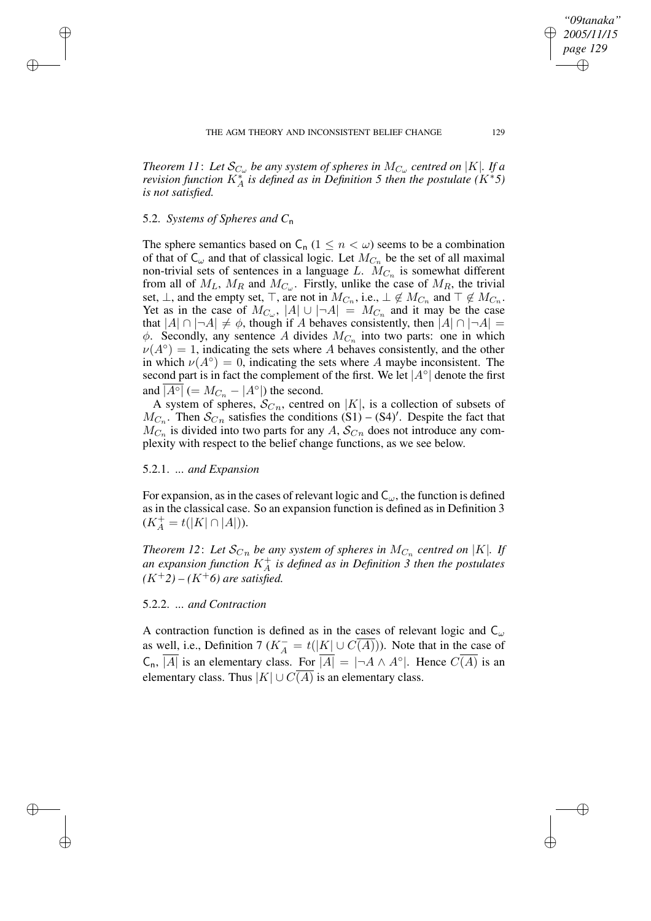*Theorem 11*: Let  $\mathcal{S}_{C_\omega}$  be any system of spheres in  $M_{C_\omega}$  centred on |K|. If a *revision function*  $K_A^*$  *is defined as in Definition* 5 *then the postulate*  $(K^*5)$ *is not satisfied.*

## 5.2. *Systems of Spheres and C*n

 $\rightarrow$ 

 $\rightarrow$ 

✐

✐

The sphere semantics based on  $C_n$  ( $1 \leq n \leq \omega$ ) seems to be a combination of that of  $C_{\omega}$  and that of classical logic. Let  $M_{C_n}$  be the set of all maximal non-trivial sets of sentences in a language L.  $M_{C_n}$  is somewhat different from all of  $M_L$ ,  $M_R$  and  $M_{C_{\omega}}$ . Firstly, unlike the case of  $M_R$ , the trivial set,  $\bot$ , and the empty set,  $\top$ , are not in  $M_{C_n}$ , i.e.,  $\bot \notin M_{C_n}$  and  $\top \notin M_{C_n}$ . Yet as in the case of  $M_{C_{\omega}}, |A| \cup |\neg A| = M_{C_n}$  and it may be the case that  $|A| \cap |\neg A| \neq \emptyset$ , though if A behaves consistently, then  $|A| \cap |\neg A|$  =  $\phi$ . Secondly, any sentence A divides  $M_{C_n}$  into two parts: one in which  $\nu(A^{\circ}) = 1$ , indicating the sets where A behaves consistently, and the other in which  $\nu(A^{\circ}) = 0$ , indicating the sets where A maybe inconsistent. The second part is in fact the complement of the first. We let  $|A^\circ|$  denote the first and  $\overline{|A^{\circ}|}$  (=  $M_{C_n} - |A^{\circ}|$ ) the second.

A system of spheres,  $S_{C_n}$ , centred on |K|, is a collection of subsets of  $M_{C_n}$ . Then  $\mathcal{S}_{C_n}$  satisfies the conditions  $(S1) - (S4)'$ . Despite the fact that  $M_{C_n}$  is divided into two parts for any A,  $S_{C_n}$  does not introduce any complexity with respect to the belief change functions, as we see below.

## 5.2.1. *... and Expansion*

For expansion, as in the cases of relevant logic and  $C_{\omega}$ , the function is defined as in the classical case. So an expansion function is defined as in Definition 3  $(K_A^+ = t(|K| \cap |A|)).$ 

*Theorem* 12: Let  $\mathcal{S}_{Cn}$  be any system of spheres in  $M_{C_n}$  centred on |K|. If an expansion function  $K_A^+$  is defined as in Definition 3 then the postulates  $(K^+2) - (K^+6)$  *are satisfied.* 

## 5.2.2. *... and Contraction*

A contraction function is defined as in the cases of relevant logic and  $C_{\omega}$ as well, i.e., Definition 7 ( $K_A^- = t(|K| \cup C(A))$ ). Note that in the case of  $\mathsf{C}_n$ ,  $\overline{|A|}$  is an elementary class. For  $\overline{|A|} = |\neg A \land A^\circ|$ . Hence  $C(\overline{A})$  is an elementary class. Thus  $|K| \cup C(\overline{A})$  is an elementary class.

*"09tanaka" 2005/11/15 page 129*

✐

✐

✐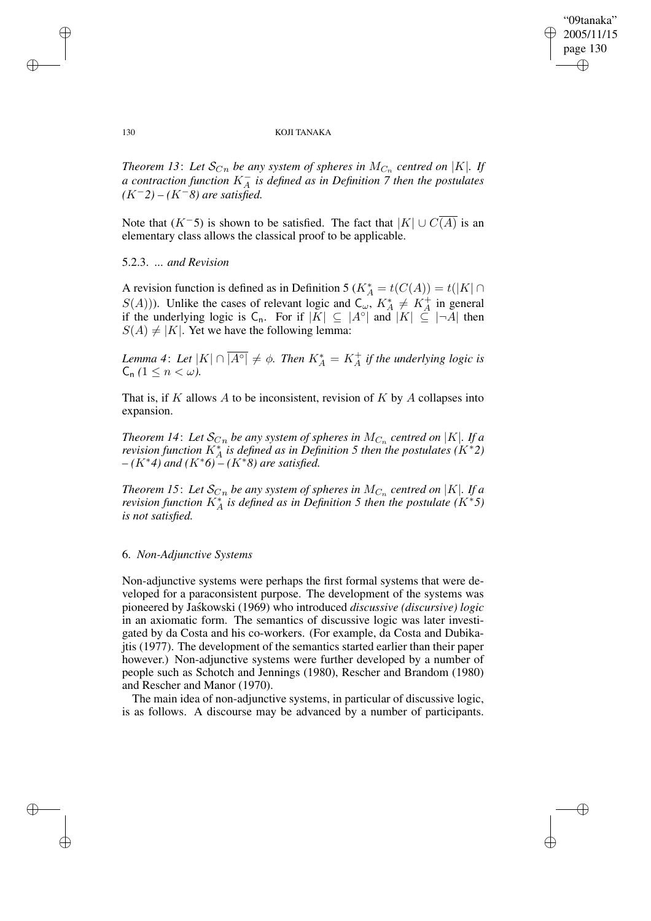✐

#### 130 KOJI TANAKA

*Theorem* 13: Let  $\mathcal{S}_{C_n}$  be any system of spheres in  $M_{C_n}$  centred on |K|. If *a contraction function* K<sup>−</sup> A *is defined as in Definition 7 then the postulates (*K−*2) – (*K−*8) are satisfied.*

Note that  $(K^-5)$  is shown to be satisfied. The fact that  $|K| \cup C(A)$  is an elementary class allows the classical proof to be applicable.

## 5.2.3. *... and Revision*

A revision function is defined as in Definition 5 ( $K_A^* = t(C(A)) = t(|K| \cap$  $S(A)$ )). Unlike the cases of relevant logic and  $C_{\omega}$ ,  $K_A^* \neq K_A^+$  in general if the underlying logic is  $C_n$ . For if  $|K| \subseteq |A^{\circ}|$  and  $|K| \subseteq |\neg A|$  then  $S(A) \neq |K|$ . Yet we have the following lemma:

*Lemma* 4: Let  $|K| \cap |\overline{A^{\circ}|} \neq \emptyset$ . Then  $K_A^* = K_A^+$  if the underlying logic is  $C_n$   $(1 \leq n \leq \omega)$ .

That is, if K allows A to be inconsistent, revision of K by A collapses into expansion.

*Theorem 14: Let*  $\mathcal{S}_{Cn}$  *be any system of spheres in*  $M_{C_n}$  centred on  $|K|$ *. If a revision function*  $K_A^*$  *is defined as in Definition* 5 *then the postulates*  $(K^*2)$ *– (*K∗*4) and (*K∗*6) – (*K∗*8) are satisfied.*

*Theorem 15*: Let  $\mathcal{S}_{Cn}$  be any system of spheres in  $M_{C_n}$  centred on  $|K|$ . If a *revision function*  $K_A^*$  *is defined as in Definition* 5 *then the postulate*  $(K^*5)$ *is not satisfied.*

## 6. *Non-Adjunctive Systems*

Non-adjunctive systems were perhaps the first formal systems that were developed for a paraconsistent purpose. The development of the systems was pioneered by Jask´ owski (1969) who introduced *discussive (discursive) logic* in an axiomatic form. The semantics of discussive logic was later investigated by da Costa and his co-workers. (For example, da Costa and Dubikajtis (1977). The development of the semantics started earlier than their paper however.) Non-adjunctive systems were further developed by a number of people such as Schotch and Jennings (1980), Rescher and Brandom (1980) and Rescher and Manor (1970).

The main idea of non-adjunctive systems, in particular of discussive logic, is as follows. A discourse may be advanced by a number of participants.

 $\rightarrow$ 

 $\rightarrow$ 

✐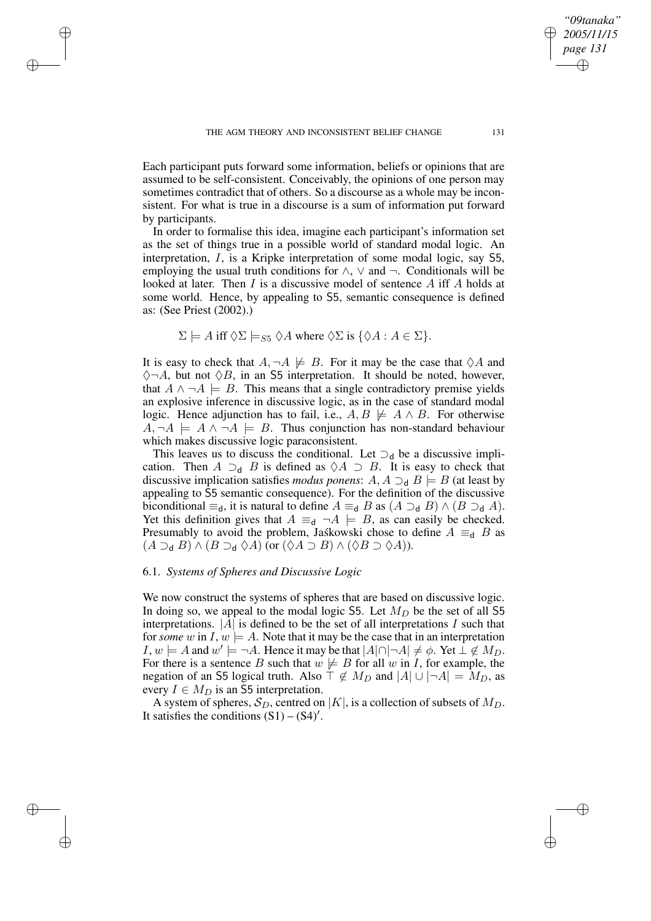$\rightarrow$ 

 $\rightarrow$ 

✐

✐

Each participant puts forward some information, beliefs or opinions that are assumed to be self-consistent. Conceivably, the opinions of one person may sometimes contradict that of others. So a discourse as a whole may be inconsistent. For what is true in a discourse is a sum of information put forward by participants.

In order to formalise this idea, imagine each participant's information set as the set of things true in a possible world of standard modal logic. An interpretation, I, is a Kripke interpretation of some modal logic, say S5, employing the usual truth conditions for  $\land$ ,  $\lor$  and  $\neg$ . Conditionals will be looked at later. Then I is a discussive model of sentence A iff A holds at some world. Hence, by appealing to S5, semantic consequence is defined as: (See Priest (2002).)

$$
\Sigma \models A \text{ iff } \Diamond \Sigma \models_{S5} \Diamond A \text{ where } \Diamond \Sigma \text{ is } \{ \Diamond A : A \in \Sigma \}.
$$

It is easy to check that  $A, \neg A \not\models B$ . For it may be the case that  $\Diamond A$  and  $\Diamond \neg A$ , but not  $\Diamond B$ , in an S5 interpretation. It should be noted, however, that  $A \land \neg A \models B$ . This means that a single contradictory premise yields an explosive inference in discussive logic, as in the case of standard modal logic. Hence adjunction has to fail, i.e.,  $A, B \not\models A \wedge B$ . For otherwise  $A, \neg A \models A \land \neg A \models B$ . Thus conjunction has non-standard behaviour which makes discussive logic paraconsistent.

This leaves us to discuss the conditional. Let  $\supset_{d}$  be a discussive implication. Then  $A \supseteq_{d} B$  is defined as  $\Diamond A \supseteq B$ . It is easy to check that discussive implication satisfies *modus ponens*:  $A, A \supseteq_{\mathsf{d}} B \models B$  (at least by appealing to S5 semantic consequence). For the definition of the discussive biconditional  $\equiv_d$ , it is natural to define  $A \equiv_d B$  as  $(A \supset_d B) \wedge (B \supset_d A)$ . Yet this definition gives that  $A \equiv_{d} \neg A \models B$ , as can easily be checked. Presumably to avoid the problem, Jaskowski chose to define  $A \equiv d \text{ } B$  as  $(A \supseteq_{\mathsf{d}} B) \wedge (B \supseteq_{\mathsf{d}} \lozenge A)$  (or  $(\lozenge A \supseteq B) \wedge (\lozenge B \supset \lozenge A)$ ).

## 6.1. *Systems of Spheres and Discussive Logic*

We now construct the systems of spheres that are based on discussive logic. In doing so, we appeal to the modal logic S5. Let  $M_D$  be the set of all S5 interpretations.  $|A|$  is defined to be the set of all interpretations I such that for *some* w in I,  $w \models A$ . Note that it may be the case that in an interpretation  $I, w \models A$  and  $w' \models \neg A$ . Hence it may be that  $|A| \cap |\neg A| \neq \emptyset$ . Yet  $\bot \notin M_D$ . For there is a sentence B such that  $w \not\models B$  for all w in I, for example, the negation of an S5 logical truth. Also  $\dot{\top} \notin M_D$  and  $|A| \cup |\neg A| = M_D$ , as every  $I \in M_D$  is an S5 interpretation.

A system of spheres,  $S_D$ , centred on |K|, is a collection of subsets of  $M_D$ . It satisfies the conditions  $(S1) - (S4)'$ .

*"09tanaka" 2005/11/15 page 131*

✐

✐

✐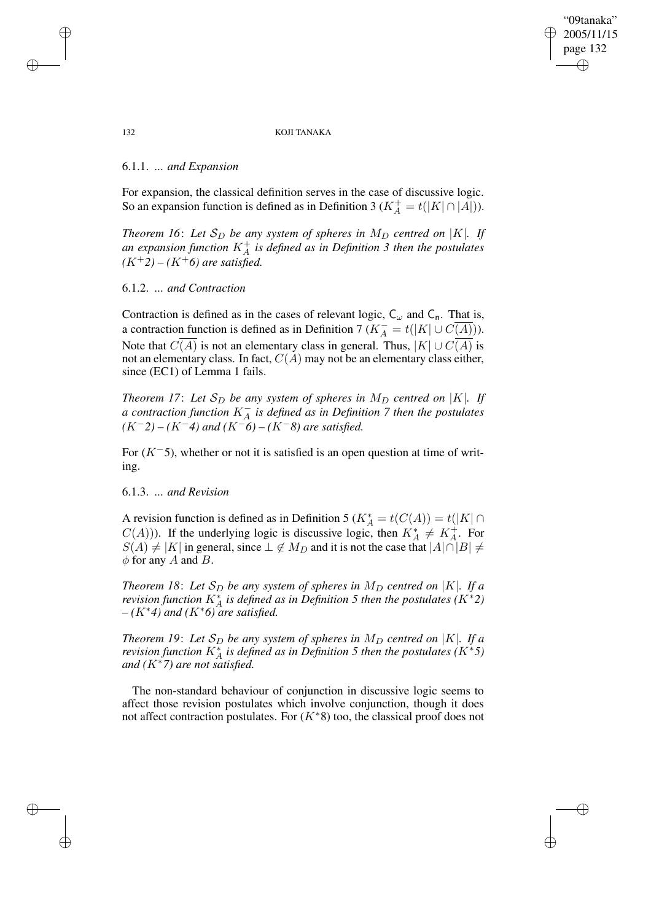"09tanaka" 2005/11/15 page 132 ✐ ✐

✐

✐

#### 132 KOJI TANAKA

## 6.1.1. *... and Expansion*

For expansion, the classical definition serves in the case of discussive logic. So an expansion function is defined as in Definition 3 ( $K_A^+ = t(|K| \cap |A|)$ ).

*Theorem* 16: Let  $S_D$  be any system of spheres in  $M_D$  centred on |K|. If *an expansion function* K<sup>+</sup> A *is defined as in Definition 3 then the postulates*  $(K^+2) - (K^+6)$  *are satisfied.* 

### 6.1.2. *... and Contraction*

Contraction is defined as in the cases of relevant logic,  $C_{\omega}$  and  $C_{n}$ . That is, a contraction function is defined as in Definition 7  $(K_A^- = t(|K| \cup C(A)))$ . Note that  $C(A)$  is not an elementary class in general. Thus,  $|K| \cup C(\overline{A})$  is not an elementary class. In fact,  $C(A)$  may not be an elementary class either, since (EC1) of Lemma 1 fails.

*Theorem* 17: Let  $S_D$  *be any system of spheres in*  $M_D$  *centred on*  $|K|$ *. If a contraction function* K<sup>−</sup> A *is defined as in Definition 7 then the postulates (*K−*2) – (*K−*4) and (*K−*6) – (*K−*8) are satisfied.*

For  $(K<sup>-5</sup>)$ , whether or not it is satisfied is an open question at time of writing.

## 6.1.3. *... and Revision*

A revision function is defined as in Definition 5 ( $K_A^* = t(C(A)) = t(|K| \cap$  $C(A)$ )). If the underlying logic is discussive logic, then  $K_A^* \neq K_A^+$ . For  $S(A) \neq |K|$  in general, since  $\perp \notin M_D$  and it is not the case that  $|A| \cap |B| \neq$  $\phi$  for any A and B.

*Theorem* 18: Let  $S_D$  *be any system of spheres in*  $M_D$  *centred on* |K|*. If a revision function*  $K_A^*$  *is defined as in Definition* 5 *then the postulates*  $(K^*2)$ *– (*K∗*4) and (*K∗*6) are satisfied.*

*Theorem* 19: Let  $S_D$  be any system of spheres in  $M_D$  centred on |K|. If a *revision function*  $K_A^*$  *is defined as in Definition* 5 *then the postulates*  $(K^*5)$ *and (*K∗*7) are not satisfied.*

The non-standard behaviour of conjunction in discussive logic seems to affect those revision postulates which involve conjunction, though it does not affect contraction postulates. For  $(K^*8)$  too, the classical proof does not

 $\rightarrow$ 

 $\rightarrow$ 

✐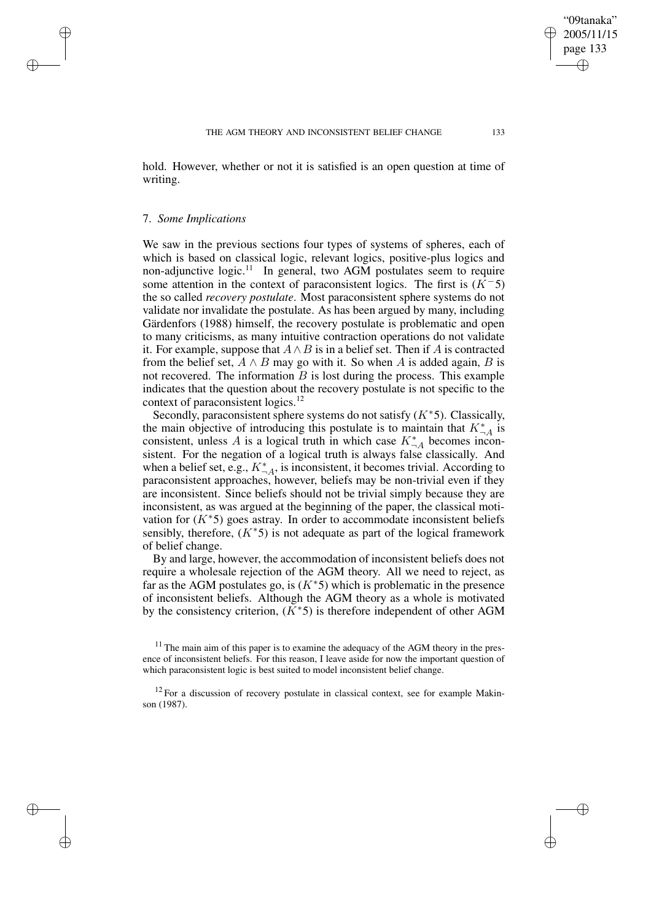hold. However, whether or not it is satisfied is an open question at time of writing.

## 7. *Some Implications*

 $\rightarrow$ 

 $\rightarrow$ 

✐

✐

We saw in the previous sections four types of systems of spheres, each of which is based on classical logic, relevant logics, positive-plus logics and non-adjunctive logic.<sup>11</sup> In general, two AGM postulates seem to require some attention in the context of paraconsistent logics. The first is  $(K<sup>-5</sup>)$ the so called *recovery postulate*. Most paraconsistent sphere systems do not validate nor invalidate the postulate. As has been argued by many, including Gärdenfors (1988) himself, the recovery postulate is problematic and open to many criticisms, as many intuitive contraction operations do not validate it. For example, suppose that  $A \wedge B$  is in a belief set. Then if A is contracted from the belief set,  $A \wedge B$  may go with it. So when A is added again, B is not recovered. The information  $B$  is lost during the process. This example indicates that the question about the recovery postulate is not specific to the context of paraconsistent logics.<sup>12</sup>

Secondly, paraconsistent sphere systems do not satisfy  $(K^*5)$ . Classically, the main objective of introducing this postulate is to maintain that  $K_{\neg A}^*$  is consistent, unless A is a logical truth in which case  $K_{\neg A}^*$  becomes inconsistent. For the negation of a logical truth is always false classically. And when a belief set, e.g.,  $K_{\neg A}^*$ , is inconsistent, it becomes trivial. According to paraconsistent approaches, however, beliefs may be non-trivial even if they are inconsistent. Since beliefs should not be trivial simply because they are inconsistent, as was argued at the beginning of the paper, the classical motivation for  $(K^*5)$  goes astray. In order to accommodate inconsistent beliefs sensibly, therefore,  $(K^*5)$  is not adequate as part of the logical framework of belief change.

By and large, however, the accommodation of inconsistent beliefs does not require a wholesale rejection of the AGM theory. All we need to reject, as far as the AGM postulates go, is  $(K^*5)$  which is problematic in the presence of inconsistent beliefs. Although the AGM theory as a whole is motivated by the consistency criterion,  $(K^*5)$  is therefore independent of other AGM

"09tanaka" 2005/11/15 page 133

✐

✐

✐

 $11$  The main aim of this paper is to examine the adequacy of the AGM theory in the presence of inconsistent beliefs. For this reason, I leave aside for now the important question of which paraconsistent logic is best suited to model inconsistent belief change.

 $12$  For a discussion of recovery postulate in classical context, see for example Makinson (1987).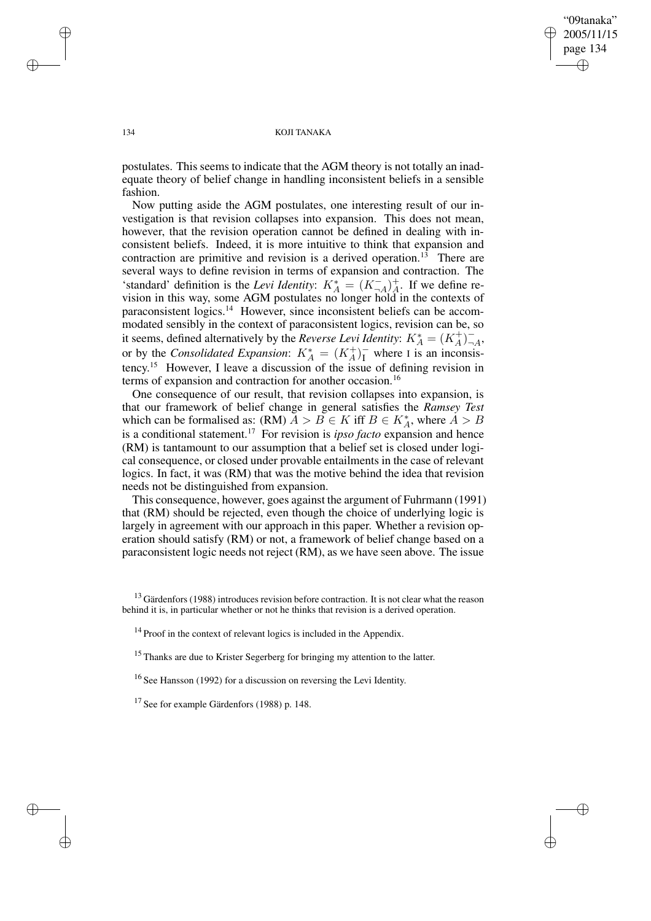"09tanaka" 2005/11/15 page 134 ✐ ✐

✐

✐

#### 134 KOJI TANAKA

postulates. This seems to indicate that the AGM theory is not totally an inadequate theory of belief change in handling inconsistent beliefs in a sensible fashion.

Now putting aside the AGM postulates, one interesting result of our investigation is that revision collapses into expansion. This does not mean, however, that the revision operation cannot be defined in dealing with inconsistent beliefs. Indeed, it is more intuitive to think that expansion and contraction are primitive and revision is a derived operation.<sup>13</sup> There are several ways to define revision in terms of expansion and contraction. The 'standard' definition is the *Levi Identity*:  $K_A^* = (K_{\Box A}^-)_A^+$ . If we define revision in this way, some AGM postulates no longer hold in the contexts of paraconsistent logics.<sup>14</sup> However, since inconsistent beliefs can be accommodated sensibly in the context of paraconsistent logics, revision can be, so it seems, defined alternatively by the *Reverse Levi Identity*:  $K_A^* = (K_A^+)^{-1}$  $^{-}_{\neg A}$ or by the *Consolidated Expansion*:  $K_A^* = (K_A^+)^-$  where I is an inconsistency. <sup>15</sup> However, I leave a discussion of the issue of defining revision in terms of expansion and contraction for another occasion.<sup>16</sup>

One consequence of our result, that revision collapses into expansion, is that our framework of belief change in general satisfies the *Ramsey Test* which can be formalised as: (RM)  $\overrightarrow{A} > \overrightarrow{B} \in K$  iff  $B \in K_A^*$ , where  $\overrightarrow{A} > B$ is a conditional statement.<sup>17</sup> For revision is *ipso facto* expansion and hence (RM) is tantamount to our assumption that a belief set is closed under logical consequence, or closed under provable entailments in the case of relevant logics. In fact, it was (RM) that was the motive behind the idea that revision needs not be distinguished from expansion.

This consequence, however, goes against the argument of Fuhrmann (1991) that (RM) should be rejected, even though the choice of underlying logic is largely in agreement with our approach in this paper. Whether a revision operation should satisfy (RM) or not, a framework of belief change based on a paraconsistent logic needs not reject (RM), as we have seen above. The issue

<sup>16</sup> See Hansson (1992) for a discussion on reversing the Levi Identity.

✐

✐

✐

 $13$  Gärdenfors (1988) introduces revision before contraction. It is not clear what the reason behind it is, in particular whether or not he thinks that revision is a derived operation.

<sup>&</sup>lt;sup>14</sup> Proof in the context of relevant logics is included in the Appendix.

<sup>&</sup>lt;sup>15</sup> Thanks are due to Krister Segerberg for bringing my attention to the latter.

<sup>&</sup>lt;sup>17</sup> See for example Gärdenfors (1988) p. 148.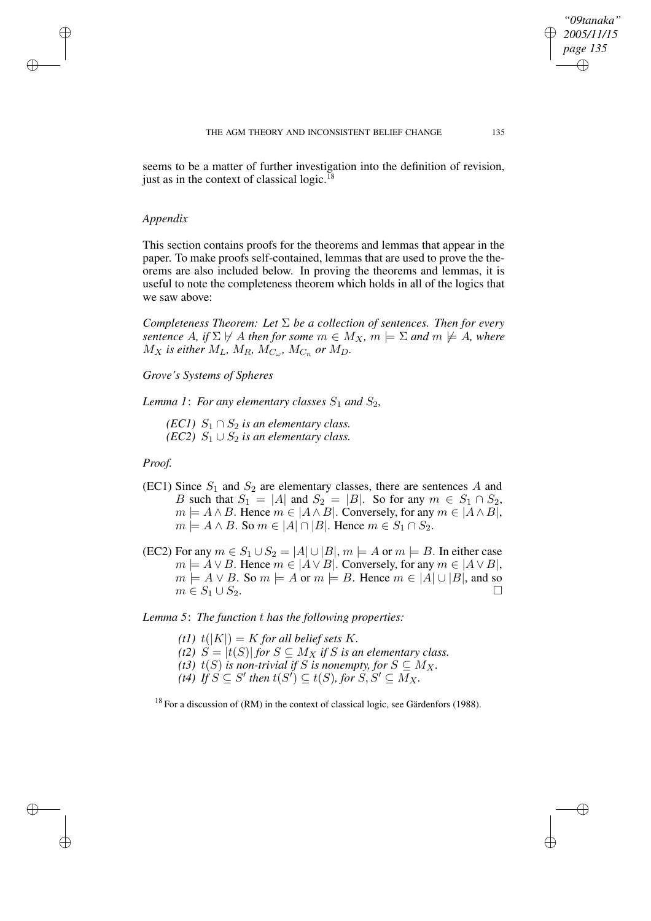seems to be a matter of further investigation into the definition of revision, just as in the context of classical logic.<sup>18</sup>

### *Appendix*

✐

✐

✐

✐

This section contains proofs for the theorems and lemmas that appear in the paper. To make proofs self-contained, lemmas that are used to prove the theorems are also included below. In proving the theorems and lemmas, it is useful to note the completeness theorem which holds in all of the logics that we saw above:

*Completeness Theorem: Let* Σ *be a collection of sentences. Then for every sentence* A, if  $\Sigma \not\vdash A$  *then* for *some*  $m \in M_X$ ,  $m \models \Sigma$  *and*  $m \not\models A$ , *where*  $M_X$  is either  $M_L$ ,  $M_R$ ,  $M_{C_\omega}$ ,  $M_{C_n}$  or  $M_D$ .

*Grove's Systems of Spheres*

*Lemma* 1: *For any elementary classes*  $S_1$  *and*  $S_2$ *,* 

*(EC1)*  $S_1 \cap S_2$  *is an elementary class. (EC2)*  $S_1 \cup S_2$  *is an elementary class.* 

*Proof.*

- (EC1) Since  $S_1$  and  $S_2$  are elementary classes, there are sentences A and B such that  $S_1 = |A|$  and  $S_2 = |B|$ . So for any  $m \in S_1 \cap S_2$ ,  $m \models A \land B$ . Hence  $m \in |A \land B|$ . Conversely, for any  $m \in |A \land B|$ ,  $m \models A \land B$ . So  $m \in |A| \cap |B|$ . Hence  $m \in S_1 \cap S_2$ .
- (EC2) For any  $m \in S_1 \cup S_2 = |A| \cup |B|$ ,  $m \models A$  or  $m \models B$ . In either case  $m \models A \lor B$ . Hence  $m \in |A \lor B|$ . Conversely, for any  $m \in |A \lor B|$ ,  $m \models A \lor B$ . So  $m \models A$  or  $m \models B$ . Hence  $m \in |A| \cup |B|$ , and so  $m \in S_1 \cup S_2$ .

*Lemma 5*: *The function* t *has the following properties:*

- (*t1*)  $t(|K|) = K$  *for all belief sets* K. (*t2*)  $S = |t(S)|$  *for*  $S \subseteq M_X$  *if S is an elementary class.*
- *(t3)*  $t(S)$  *is non-trivial if* S *is nonempty, for*  $S \subseteq M_X$ .
- $\overline{f}(t)$  *If*  $S \subseteq S'$  then  $t(S') \subseteq t(S)$ , for  $S, S' \subseteq M_X$ .

<sup>18</sup> For a discussion of (RM) in the context of classical logic, see Gärdenfors (1988).

*"09tanaka" 2005/11/15 page 135*

✐

✐

✐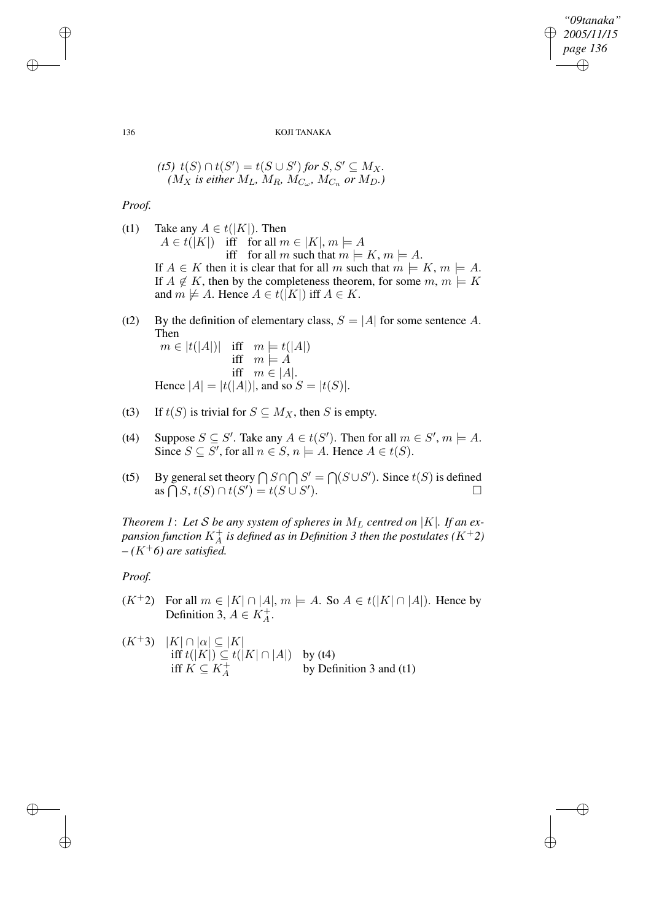*"09tanaka" 2005/11/15 page 136* ✐ ✐

✐

✐

#### 136 KOJI TANAKA

$$
(t5) \ t(S) \cap t(S') = t(S \cup S') \text{ for } S, S' \subseteq M_X.
$$
  

$$
(M_X \text{ is either } M_L, M_R, M_{C_{\omega}}, M_{C_n} \text{ or } M_D.)
$$

*Proof.*

(t1) Take any  $A \in t(|K|)$ . Then  $A \in t(|K|)$  iff for all  $m \in |K|, m \models A$ iff for all m such that  $m \models K$ ,  $m \models A$ . If  $A \in K$  then it is clear that for all m such that  $m \models K$ ,  $m \models A$ . If  $A \notin K$ , then by the completeness theorem, for some  $m, m \models K$ and  $m \not\models A$ . Hence  $A \in t([K])$  iff  $A \in K$ .

(t2) By the definition of elementary class,  $S = |A|$  for some sentence A. Then

 $m \in |t(|A|)|$  iff  $m \models t(|A|)$ iff  $m \models A$ iff  $m \in |A|$ . Hence  $|A| = |t(|A|)|$ , and so  $S = |t(S)|$ .

- (t3) If  $t(S)$  is trivial for  $S \subseteq M_X$ , then S is empty.
- (t4) Suppose  $S \subseteq S'$ . Take any  $A \in t(S')$ . Then for all  $m \in S'$ ,  $m \models A$ . Since  $S \subseteq S'$ , for all  $n \in S$ ,  $n \models A$ . Hence  $A \in t(S)$ .
- (t5) By general set theory  $\bigcap S \cap \bigcap S' = \bigcap (S \cup S')$ . Since  $t(S)$  is defined as  $\bigcap S, t(S) \cap t(S') = t(S \cup S')$ ).  $\qquad \qquad \Box$

*Theorem 1: Let S be any system of spheres in*  $M_L$  *centred on*  $|K|$ *. If an ex*pansion function  $K^+_A$  is defined as in Definition 3 then the postulates  $(K^+2)$  $-(K^+6)$  *are satisfied.* 

*Proof.*

✐

✐

- $(K^+2)$  For all  $m \in |K| \cap |A|$ ,  $m \models A$ . So  $A \in t(|K| \cap |A|)$ . Hence by Definition 3,  $A \in K_A^+$ .
- $(K^+3)$   $|K| \cap |\alpha| \subseteq |K|$ iff  $t(|K|) \subseteq t(|K| \cap |A|)$  by (t4) iff  $K \subseteq K_A^+$  by Definition 3 and (t1)

✐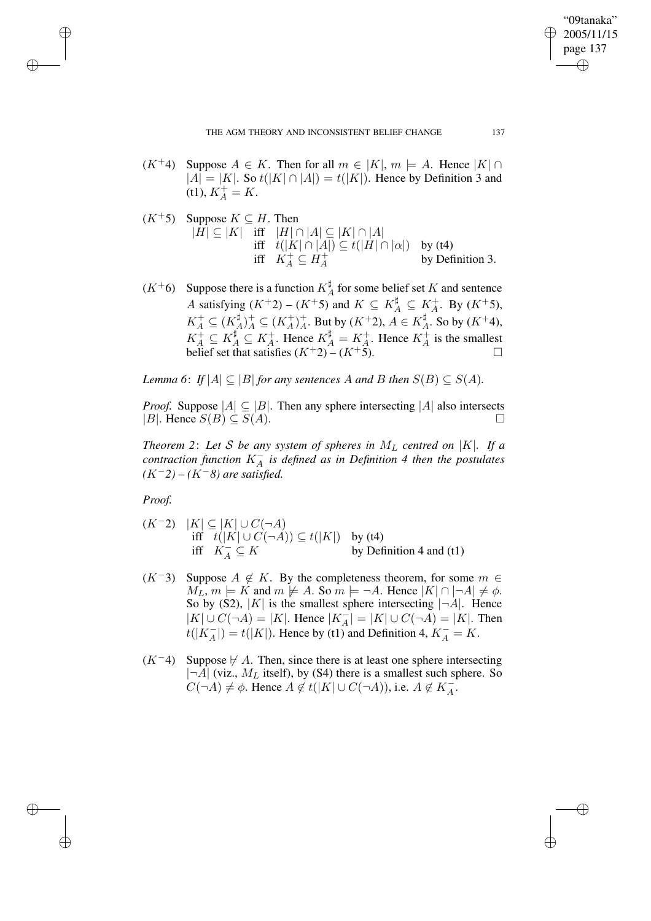$(K^+4)$  Suppose  $A \in K$ . Then for all  $m \in |K|$ ,  $m \models A$ . Hence  $|K| \cap$  $|A| = |K|$ . So  $t(|K| \cap |A|) = t(|K|)$ . Hence by Definition 3 and (t1),  $K_A^+ = K$ .

$$
(K^+5) \quad \text{Suppose } K \subseteq H. \text{ Then}
$$
  
\n|H| ⊆ |K| iff |H| ∩ |A| ⊆ |K| ∩ |A|  
\niff t(|K| ∩ |A|) ⊆ t(|H| ∩ |a|) by (t4)  
\niff K<sup>+</sup><sub>A</sub> ⊆ H<sup>+</sup><sub>A</sub> by Definition 3.

 $(K^+6)$  Suppose there is a function  $K^{\sharp}$  $_A^{\sharp}$  for some belief set K and sentence A satisfying  $(K^+2) - (K^+5)$  and  $K \subseteq K_A^{\sharp} \subseteq K_A^+$ . By  $(K^+5)$ ,  $K_A^+\subseteq(K_A^\sharp$  $(A_A^{\sharp})_A^{\dagger} \subseteq (K_A^+)_A^{\dagger}$ . But by  $(K^+2)$ ,  $A \in K_A^{\sharp}$  $A^{\sharp}$ . So by  $(K^{\pm}4)$ ,  $K_A^{\dagger} \subseteq K_A^{\dagger}$ . Hence  $K_A^{\dagger} = K_A^+$ . Hence  $K_A^+$  is the smallest belief set that satisfies  $(K^+2) - (K^+5)$ .

*Lemma* 6: *If*  $|A| \subseteq |B|$  *for any sentences* A *and* B *then*  $S(B) \subseteq S(A)$ *.* 

*Proof.* Suppose  $|A| \subseteq |B|$ . Then any sphere intersecting  $|A|$  also intersects |B|. Hence  $S(B) \subseteq S(A)$ .

*Theorem* 2: Let *S* be any system of spheres in  $M_L$  centred on  $|K|$ . If a *contraction function* K<sup>−</sup> A *is defined as in Definition 4 then the postulates (*K−*2) – (*K−*8) are satisfied.*

*Proof.*

✐

✐

✐

✐

- $(K^-2)$   $|K|$  ⊆  $|K|$  ∪  $C(\neg A)$ iff  $t(|K| \cup C(\neg A)) \subseteq t(|K|)$  by (t4) iff  $K_A^{\perp} \subseteq K$  by Definition 4 and (t1)
- $(K^-3)$  Suppose  $A \notin K$ . By the completeness theorem, for some  $m \in$  $M_L$ ,  $m \models K$  and  $m \not\models A$ . So  $m \models \neg A$ . Hence  $|K| \cap |\neg A| \neq \phi$ . So by (S2),  $|K|$  is the smallest sphere intersecting  $|\neg A|$ . Hence  $|K| \cup C(\neg A) = |K|$ . Hence  $|K_A^-| = |K| \cup C(\neg A) = |K|$ . Then  $t(|K_A^-|) = t(|K|)$ . Hence by (t1) and Definition 4,  $K_A^- = K$ .
- $(K<sup>-4</sup>)$  Suppose  $\nvdash A$ . Then, since there is at least one sphere intersecting  $|\neg A|$  (viz.,  $M_L$  itself), by (S4) there is a smallest such sphere. So  $C(\neg A) \neq \emptyset$ . Hence  $A \notin t(|K| \cup C(\neg A))$ , i.e.  $A \notin K_A^{-1}$ .

"09tanaka" 2005/11/15 page 137

✐

✐

✐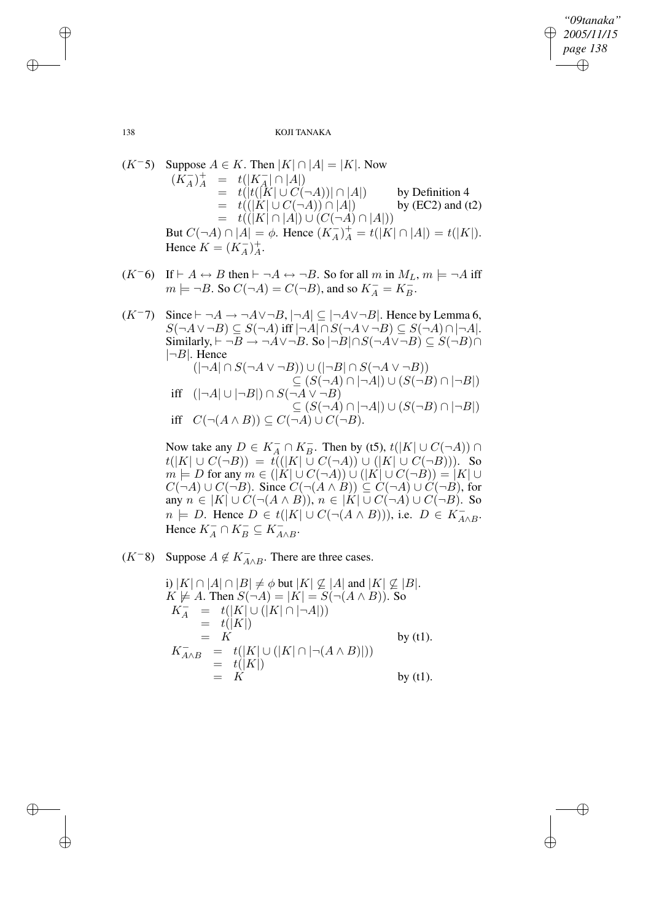✐

138 KOJI TANAKA

$$
(K^{-}5) \quad \text{Suppose } A \in K. \text{ Then } |K| \cap |A| = |K|. \text{ Now}
$$
\n
$$
(K_A^-)_A^+ = t(|K_A^-| \cap |A|)
$$
\n
$$
= t(|t(|K| \cup C(\neg A))| \cap |A|) \qquad \text{by Definition 4}
$$
\n
$$
= t(|K| \cup C(\neg A)) \cap |A|) \qquad \text{by (EC2) and (t2)}
$$
\n
$$
= t(|K| \cap |A|) \cup (C(\neg A) \cap |A|)
$$
\n
$$
\text{But } C(\neg A) \cap |A| = \phi. \text{ Hence } (K_A^-)_A^+ = t(|K| \cap |A|) = t(|K|).
$$
\n
$$
\text{Hence } K = (K_A^-)_A^+.
$$

- $(K^-6)$  If  $\vdash A \leftrightarrow B$  then  $\vdash \neg A \leftrightarrow \neg B$ . So for all m in  $M_L$ ,  $m \models \neg A$  iff  $m \models \neg B$ . So  $C(\neg A) = C(\neg B)$ , and so  $K_A^- = K_B^-$ .
- $(K^-7)$  Since  $\vdash \neg A \rightarrow \neg A \lor \neg B$ ,  $\lvert \neg A \rvert \subseteq \lvert \neg A \lor \neg B \rvert$ . Hence by Lemma 6,  $S(\neg A \vee \neg B) \subseteq S(\neg A)$  iff  $|\neg A| \cap S(\neg A \vee \neg B) \subseteq S(\neg A) \cap |\neg A|$ . Similarly,  $\vdash \neg B \rightarrow \neg A \lor \neg B$ . So  $|\neg B| \cap S(\neg A \lor \neg B) \subseteq S(\neg B) \cap$  $|\neg B|$ . Hence  $(|\neg A| \cap S(\neg A \vee \neg B)) \cup (|\neg B| \cap S(\neg A \vee \neg B))$  $\subseteq (S(\neg A) \cap |\neg A|) \cup (S(\neg B) \cap |\neg B|)$ iff  $(|\neg A| \cup |\neg B|) \cap S(\neg A \vee \neg B)$  $\subseteq (S(\neg A) \cap |\neg A|) \cup (S(\neg B) \cap |\neg B|)$ iff  $C(\neg(A \land B)) \subseteq C(\neg A) \cup C(\neg B)$ .

Now take any  $D \in K_A^- \cap K_B^-$ . Then by (t5),  $t(|K| \cup C(\neg A)) \cap$  $t(|K| \cup C(\neg B)) = t((|K| \cup C(\neg A)) \cup (|K| \cup C(\neg B))).$  So  $m = D$  for any  $m \in (|\mathbf{K}| \cup C(\neg \mathbf{A})) \cup (|\mathbf{K}| \cup C(\neg \mathbf{B})) = |K| \cup$  $C(\neg A) \cup C(\neg B)$ . Since  $C(\neg (A \land B)) \subseteq C(\neg A) \cup C(\neg B)$ , for any  $n \in |K| \cup C(\neg(A \land B)), n \in |K| \cup C(\neg A) \cup C(\neg B)$ . So  $n \models D$ . Hence  $D \in t(|K| \cup C(\neg(A \land B)))$ , i.e.  $D \in K_{A \land B}^{-}$ . Hence  $K_A^- \cap K_B^- \subseteq K_{A \wedge B}^-$ .

 $(K^{-}8)$  Suppose  $A \notin K_{A \wedge B}^{-}$ . There are three cases.

i) 
$$
|K| \cap |A| \cap |B| \neq \phi
$$
 but  $|K| \nsubseteq |A|$  and  $|K| \nsubseteq |B|$ .  
\n $K \not\models A$ . Then  $S(\neg A) = |K| = S(\neg(A \land B))$ . So  
\n $K_A^- = t(|K| \cup (|K| \cap |\neg A|))$   
\n $= t(|K|)$   
\n $= K$  by (t1).  
\n $K_{A \land B}^- = t(|K| \cup (|K| \cap |\neg(A \land B)|))$   
\n $= K$  by (t1).

✐

✐

✐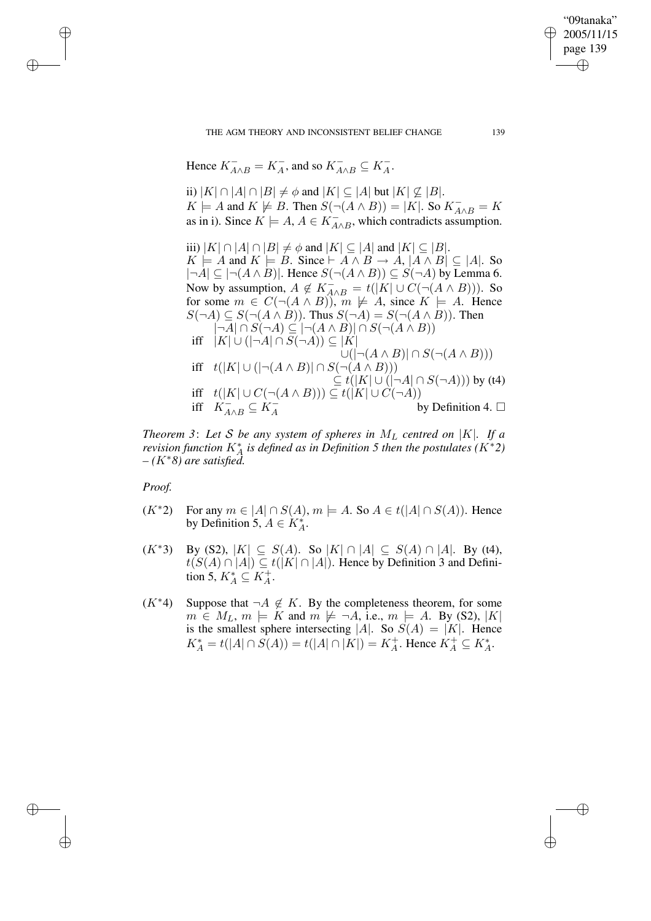THE AGM THEORY AND INCONSISTENT BELIEF CHANGE 139

Hence  $K_{A\wedge B}^- = K_A^-$ , and so  $K_{A\wedge B}^- \subseteq K_A^-$ .

ii)  $|K| \cap |A| \cap |B| \neq \emptyset$  and  $|K| \subseteq |A|$  but  $|K| \not\subseteq |B|$ .  $K \models A$  and  $K \not\models B$ . Then  $S(\neg(A \land B)) = |K|$ . So  $K_{A \land B} = K$ as in i). Since  $K \models A, A \in K^-_{A \wedge B}$ , which contradicts assumption.

iii)  $|K| \cap |A| \cap |B| \neq \phi$  and  $|K| \subseteq |A|$  and  $|K| \subseteq |B|$ .  $K \models A$  and  $K \models B$ . Since  $\vdash A \land B \to A$ ,  $|A \land B| \subseteq |A|$ . So  $|\neg A| \subseteq |\neg(A \land B)|$ . Hence  $S(\neg(A \land B)) \subseteq S(\neg A)$  by Lemma 6. Now by assumption,  $A \notin K_{A \wedge B}$  =  $t([K] \cup C(\neg (A \wedge B)))$ . So for some  $m \in C(\neg(A \land B))$ ,  $m \not\models A$ , since  $K \models A$ . Hence  $S(\neg A) \subseteq S(\neg(A \land B))$ . Thus  $S(\neg A) = S(\neg(A \land B))$ . Then  $\neg A \cap S(\neg A) \subseteq \neg(A \land B) \cap S(\neg(A \land B))$ iff  $|K| \cup (|\neg A| \cap S(\neg A)) \subseteq |K|$  $\cup(|\neg(A \wedge B)| \cap S(\neg(A \wedge B)))$ iff  $t(|K| \cup (|\neg(A \wedge B)| \cap S(\neg(A \wedge B)))$  $\subseteq t(|K| \cup (|\neg A| \cap S(\neg A)))$  by (t4) iff  $t(|K| \cup C(\neg(A \wedge B))) \subseteq t(|K| \cup C(\neg A))$ iff  $K_{A\wedge B}^{-} \subseteq K_A^{-}$   $\qquad \qquad$   $\qquad \qquad$  by Definition 4.  $\square$ 

*Theorem* 3: Let *S* be any system of spheres in  $M_L$  centred on |K|. If a *revision* function  $K_A^*$  *is defined as in Definition* 5 *then the postulates*  $(K^*2)$ *– (*K∗*8) are satisfied.*

*Proof.*

✐

✐

✐

✐

- $(K^*2)$  For any  $m \in |A| \cap S(A)$ ,  $m \models A$ . So  $A \in t(|A| \cap S(A))$ . Hence by Definition 5,  $A \in K_A^*$ .
- $(K^*3)$  By (S2),  $|K|$  ⊆  $S(A)$ . So  $|K| \cap |A|$  ⊆  $S(A) \cap |A|$ . By (t4),  $t(S(A) \cap |A|) \subseteq t(|K| \cap |A|)$ . Hence by Definition 3 and Definition 5,  $K_A^* \subseteq K_A^+$ .
- $(K^*4)$  Suppose that  $\neg A \notin K$ . By the completeness theorem, for some  $m \in M_L$ ,  $m \models K$  and  $m \not\models \neg A$ , i.e.,  $m \models A$ . By (S2), |K| is the smallest sphere intersecting |A|. So  $S(A) = |K|$ . Hence  $K_A^* = t(|A| \cap S(A)) = t(|A| \cap |K|) = K_A^+$ . Hence  $K_A^+ \subseteq K_A^*$ .

"09tanaka" 2005/11/15 page 139

✐

✐

✐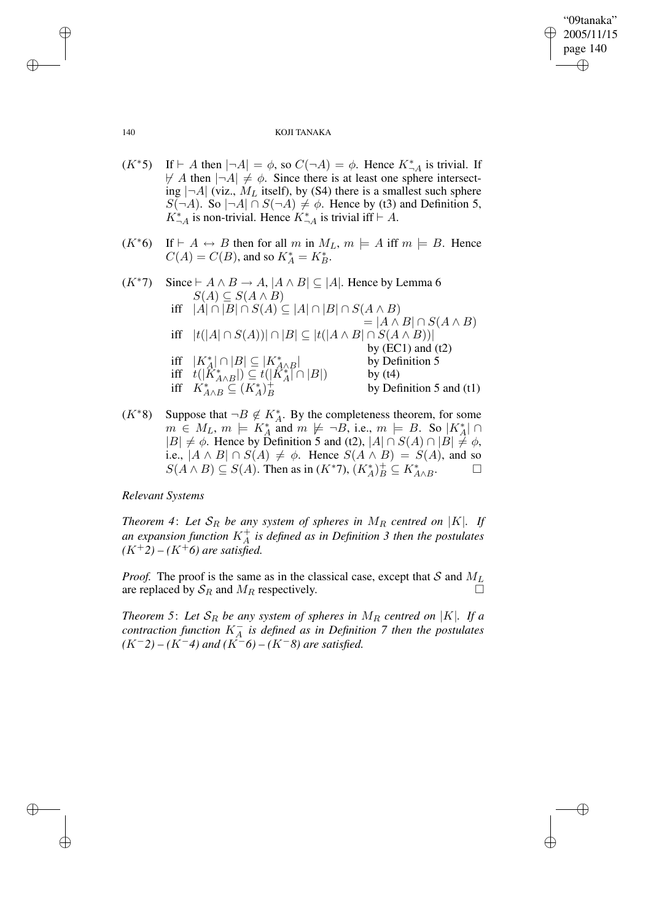✐

#### 140 KOJI TANAKA

- $(K^*5)$  If  $\vdash A$  then  $|\neg A| = \phi$ , so  $C(\neg A) = \phi$ . Hence  $K^*_{\neg A}$  is trivial. If  $\not\vdash A$  then  $|\neg A| \neq \phi$ . Since there is at least one sphere intersecting  $|\neg A|$  (viz.,  $M_L$  itself), by (S4) there is a smallest such sphere  $S(\neg A)$ . So  $|\neg A| \cap S(\neg A) \neq \emptyset$ . Hence by (t3) and Definition 5,  $K_{\neg A}^*$  is non-trivial. Hence  $K_{\neg A}^*$  is trivial iff  $\vdash A$ .
- $(K^*6)$  If  $\vdash A \leftrightarrow B$  then for all m in  $M_L$ ,  $m \models A$  iff  $m \models B$ . Hence  $C(A) = C(B)$ , and so  $K_A^* = K_B^*$ .
- $(K^*7)$  Since  $\vdash A \land B \to A$ ,  $\vert A \land B \vert \subseteq \vert A \vert$ . Hence by Lemma 6  $S(A) \subseteq S(A \wedge B)$ iff  $|A| \cap |B| \cap S(A) \subseteq |A| \cap |B| \cap S(A \wedge B)$  $= |A \wedge B| \cap S(A \wedge B)$ iff  $|t(|A| \cap S(A))| \cap |B| \subseteq |t(|A \wedge B| \cap S(A \wedge B))|$ by  $(EC1)$  and  $(t2)$ iff  $|K_A^*| \cap |B| \subseteq |K_{A \wedge B}^*|$  by Def<br>iff  $t(|K_{A \wedge B}^*|) \subseteq t(|K_A^*| \cap |B|)$  by (t4) by Definition 5 iff  $K^*_{A \wedge B} \subseteq (K^*_A)_B^+$ by Definition 5 and (t1)
- $(K^*8)$  Suppose that  $\neg B \notin K_A^*$ . By the completeness theorem, for some  $m \in M_L$ ,  $m \models K_A^*$  and  $m \not\models \neg B$ , i.e.,  $m \models B$ . So  $|K_A^*| \cap$  $|B| \neq \phi$ . Hence by Definition 5 and (t2),  $|A| \cap S(A) \cap |B| \neq \phi$ , i.e.,  $|A \wedge B| \cap S(A) \neq \emptyset$ . Hence  $S(A \wedge B) = S(A)$ , and so  $S(A \wedge B) \subseteq S(A)$ . Then as in  $(K^*7)$ ,  $(K_A^*)_B^+ \subseteq K_{A \wedge B}^*$ . — П

## *Relevant Systems*

*Theorem* 4: Let  $S_R$  be any system of spheres in  $M_R$  centred on |K|. If *an expansion function* K<sup>+</sup> A *is defined as in Definition 3 then the postulates*  $(K^+2) - (K^+6)$  *are satisfied.* 

*Proof.* The proof is the same as in the classical case, except that S and  $M_L$ are replaced by  $S_R$  and  $M_R$  respectively.

*Theorem* 5: Let  $S_R$  *be any system of spheres in*  $M_R$  *centred on*  $|K|$ *. If a contraction function* K<sup>−</sup> A *is defined as in Definition 7 then the postulates*  $(K^-2) - (K^-4)$  *and*  $(K^2^-6) - (K^-8)$  *are satisfied.* 

✐

✐

✐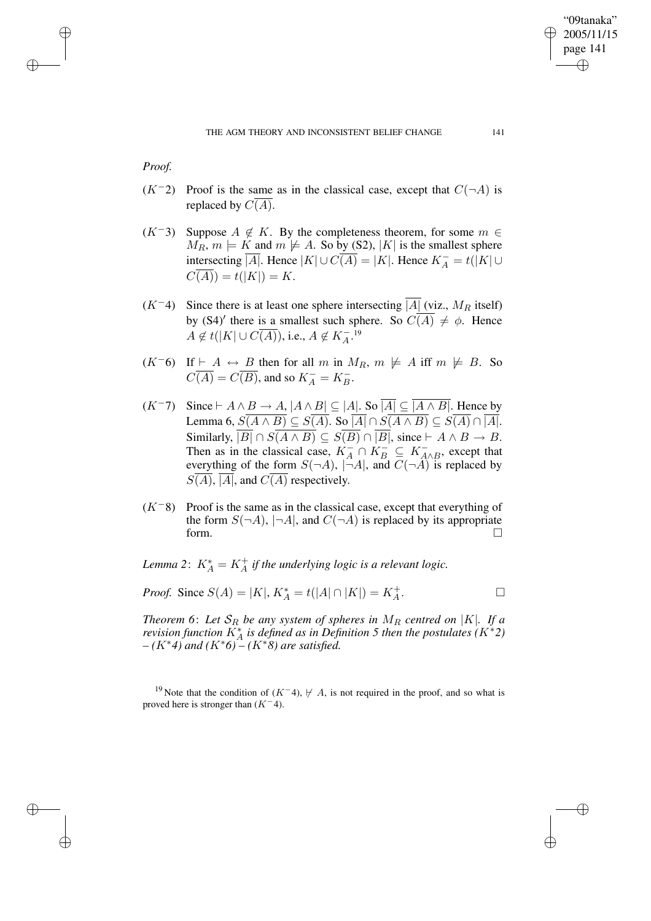## *Proof.*

✐

✐

✐

✐

- $(K^-2)$  Proof is the same as in the classical case, except that  $C(\neg A)$  is replaced by  $C(\overline{A})$ .
- $(K^-3)$  Suppose  $A \notin K$ . By the completeness theorem, for some  $m \in$  $M_R$ ,  $m \models K$  and  $m \not\models A$ . So by (S2), |K| is the smallest sphere intersecting  $\overline{|A|}$ . Hence  $|K| \cup \overline{C(A)} = |K|$ . Hence  $K_A^- = t(|K| \cup$  $\overline{C(A)}$ ) =  $t(|K|) = K$ .
- $(K<sup>-4</sup>)$  Since there is at least one sphere intersecting  $\overline{A}$  (viz.,  $M_R$  itself) by (S4)' there is a smallest such sphere. So  $C(\overline{A}) \neq \phi$ . Hence  $A \notin t(|K| \cup C(\overline{A})),$  i.e.,  $A \notin K_A^{-19}$
- $(K^-6)$  If  $\vdash A \leftrightarrow B$  then for all m in  $M_R$ ,  $m \not\models A$  iff  $m \not\models B$ . So  $\overline{C(A)} = \overline{C(B)}$ , and so  $K_A^- = K_B^-$ .
- $(K^-7)$  Since  $\vdash A \wedge B \to A$ ,  $|A \wedge B| \subseteq |A|$ . So  $\overline{|A|} \subseteq \overline{|A \wedge B|}$ . Hence by Lemma 6,  $S(A \wedge B) \subseteq S(A)$ . So  $|A| \cap S(A \wedge B) \subseteq S(A) \cap |A|$ . Similarly,  $|B| \cap S(A \wedge B) \subseteq S(B) \cap |B|$ , since  $\vdash A \wedge B \to B$ . Then as in the classical case,  $K_A^- \cap K_B^- \subseteq K_{A \wedge B}^-$ , except that everything of the form  $S(\neg A)$ ,  $|\neg A|$ , and  $C(\neg A)$  is replaced by  $S(A)$ , |A|, and  $C(A)$  respectively.
- $(K<sup>-8</sup>)$  Proof is the same as in the classical case, except that everything of the form  $S(\neg A)$ ,  $|\neg A|$ , and  $C(\neg A)$  is replaced by its appropriate form.  $\Box$

*Lemma* 2:  $K_A^* = K_A^+$  *if the underlying logic is a relevant logic.* 

*Proof.* Since 
$$
S(A) = |K|
$$
,  $K_A^* = t(|A| \cap |K|) = K_A^+$ .

*Theorem* 6: Let  $S_R$  *be any system of spheres in*  $M_R$  *centred on* |K|*. If a revision function*  $K_A^*$  *is defined as in Definition* 5 *then the postulates*  $(K^*2)$ *– (*K∗*4) and (*K∗*6) – (*K∗*8) are satisfied.*

<sup>19</sup> Note that the condition of (K<sup>-</sup>4),  $\nvdash$  A, is not required in the proof, and so what is proved here is stronger than  $(K<sup>-4</sup>)$ .

"09tanaka" 2005/11/15 page 141

✐

✐

✐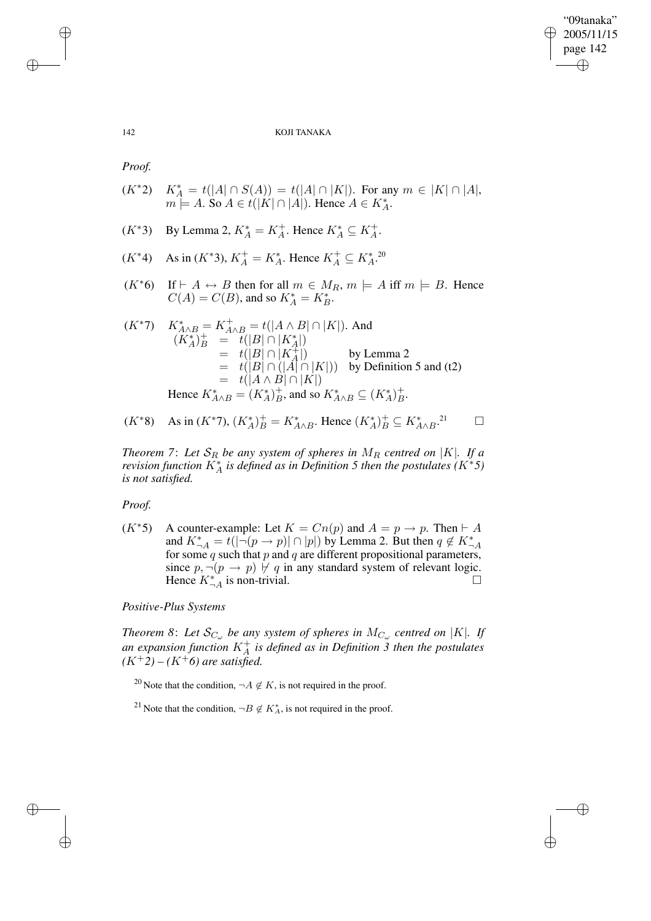"09tanaka" 2005/11/15 page 142 ✐ ✐

✐

✐

#### 142 KOJI TANAKA

*Proof.*

- $(K^*2)$  $A_A^* = t(|A| \cap S(A)) = t(|A| \cap |K|)$ . For any  $m \in |K| \cap |A|$ ,  $m \stackrel{\curvearrowright}{=} A.$  So  $A \in t(|K| \cap |A|)$ . Hence  $A \in K_A^*$ .
- $(K^*3)$  By Lemma 2,  $K_A^* = K_A^+$ . Hence  $K_A^* \subseteq K_A^+$ .
- $(K^*4)$  As in  $(K^*3)$ ,  $K_A^+ = K_A^*$ . Hence  $K_A^+ \subseteq K_A^*$ .<sup>20</sup>
- $(K^*6)$  If  $\vdash A \leftrightarrow B$  then for all  $m \in M_R$ ,  $m \models A$  iff  $m \models B$ . Hence  $C(A) = C(B)$ , and so  $K_A^* = K_B^*$ .

$$
(K^*7) \quad K_{A \wedge B}^* = K_{A \wedge B}^+ = t(|A \wedge B| \cap |K|). \text{ And}
$$
  
\n
$$
(K_A^*)_B^+ = t(|B| \cap |K_A^*|)
$$
  
\n
$$
= t(|B| \cap |K_A^+|)
$$
 by Lemma 2  
\n
$$
= t(|B| \cap (|A| \cap |K|))
$$
 by Definition 5 and (t2)  
\n
$$
= t(|A \wedge B| \cap |K|)
$$
  
\nHence  $K_{A \wedge B}^* = (K_A^*)_B^+$ , and so  $K_{A \wedge B}^* \subseteq (K_A^*)_B^+$ .

(K∗8) As in (K∗7), (K<sup>∗</sup> A ) + <sup>B</sup> <sup>=</sup> <sup>K</sup><sup>∗</sup> A∧B . Hence (K<sup>∗</sup> A ) + <sup>B</sup> <sup>⊆</sup> <sup>K</sup><sup>∗</sup> A∧B . <sup>21</sup>

*Theorem* 7: Let  $\mathcal{S}_R$  be any system of spheres in  $M_R$  centred on |K|. If a *revision function*  $K_A^*$  *is defined as in Definition* 5 *then the postulates*  $(K^*5)$ *is not satisfied.*

*Proof.*

 $(K^*5)$  A counter-example: Let  $K = Cn(p)$  and  $A = p \rightarrow p$ . Then  $\vdash A$ and  $K_{\neg A}^* = t(|\neg(p \rightarrow p)| \cap |p|)$  by Lemma 2. But then  $q \notin K_{\neg A}^*$ for some  $q$  such that  $p$  and  $q$  are different propositional parameters, since  $p, \neg(p \rightarrow p) \not\vdash q$  in any standard system of relevant logic. Hence  $K_{A}^*$  is non-trivial.  $\square$ 

*Positive-Plus Systems*

*Theorem* 8: Let  $\mathcal{S}_{C_{\omega}}$  be any system of spheres in  $M_{C_{\omega}}$  centred on |K|. If *an expansion function* K<sup>+</sup> A *is defined as in Definition 3 then the postulates*  $(K^+2) - (K^+6)$  *are satisfied.* 

<sup>20</sup> Note that the condition,  $\neg A \notin K$ , is not required in the proof.

<sup>21</sup> Note that the condition,  $\neg B \notin K_A^*$ , is not required in the proof.

✐

✐

✐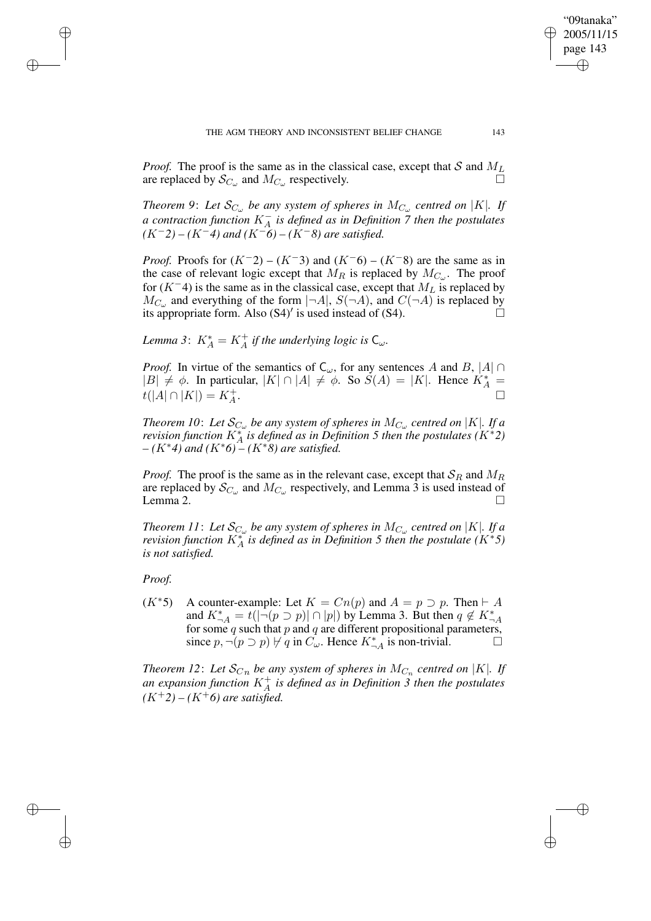*Proof.* The proof is the same as in the classical case, except that S and  $M_L$  are replaced by  $S_C$  and  $M_C$  respectively are replaced by  $\mathcal{S}_{C_{\omega}}$  and  $M_{C_{\omega}}$  respectively.

*Theorem* 9: Let  $\mathcal{S}_{C_{\omega}}$  be any system of spheres in  $M_{C_{\omega}}$  centred on |K|. If *a contraction function* K<sup>−</sup> A *is defined as in Definition 7 then the postulates*  $(K^-2) - (K^-4)$  *and*  $(K^-6) - (K^-8)$  *are satisfied.* 

*Proof.* Proofs for  $(K^-2) - (K^-3)$  and  $(K^-6) - (K^-8)$  are the same as in the case of relevant logic except that  $M_R$  is replaced by  $M_{C_{\omega}}$ . The proof for  $(K^-4)$  is the same as in the classical case, except that  $M_L$  is replaced by  $M_{C_{\omega}}$  and everything of the form  $|\neg A|$ ,  $S(\neg A)$ , and  $C(\neg A)$  is replaced by its appropriate form. Also  $(S4)'$  is used instead of  $(S4)$ .

*Lemma* 3:  $K_A^* = K_A^+$  *if the underlying logic is*  $C_{\omega}$ *.* 

*Proof.* In virtue of the semantics of  $C_{\omega}$ , for any sentences A and B, |A| ∩  $|B| \neq \phi$ . In particular,  $|K| \cap |A| \neq \phi$ . So  $S(A) = |K|$ . Hence  $K_A^*$  =  $t(|A| \cap |K|) = K_A^+$ .

*Theorem 10: Let*  $\mathcal{S}_{C_{\omega}}$  *be any system of spheres in*  $M_{C_{\omega}}$  centred on  $|K|$ *. If a revision function*  $K_A^*$  *is defined as in Definition* 5 *then the postulates*  $(K^*2)$ *– (*K∗*4) and (*K∗*6) – (*K∗*8) are satisfied.*

*Proof.* The proof is the same as in the relevant case, except that  $S_R$  and  $M_R$ are replaced by  $\mathcal{S}_{C_{\omega}}$  and  $M_{C_{\omega}}$  respectively, and Lemma 3 is used instead of Lemma 2.  $\Box$ 

*Theorem 11*: Let  $\mathcal{S}_{C_\omega}$  be any system of spheres in  $M_{C_\omega}$  centred on |K|. If a *revision function*  $K_A^*$  *is defined as in Definition* 5 *then the postulate*  $(K^*5)$ *is not satisfied.*

*Proof.*

✐

✐

✐

✐

 $(K^*5)$  A counter-example: Let  $K = Cn(p)$  and  $A = p \supset p$ . Then  $\vdash A$ and  $K_{\neg A}^* = t(|\neg (p \supset p)| \cap |p|)$  by Lemma 3. But then  $q \notin K_{\neg A}^*$ for some  $q$  such that  $p$  and  $q$  are different propositional parameters, since  $p, \neg(p \supset p) \nvdash q$  in  $C_{\omega}$ . Hence  $K_{\neg A}^*$  is non-trivial.

*Theorem* 12: Let  $\mathcal{S}_{Cn}$  be any system of spheres in  $M_{C_n}$  centred on |K|. If an expansion function  $K_A^+$  is defined as in Definition 3 then the postulates  $(K^+2) - (K^+6)$  *are satisfied.* 

"09tanaka" 2005/11/15 page 143

✐

✐

✐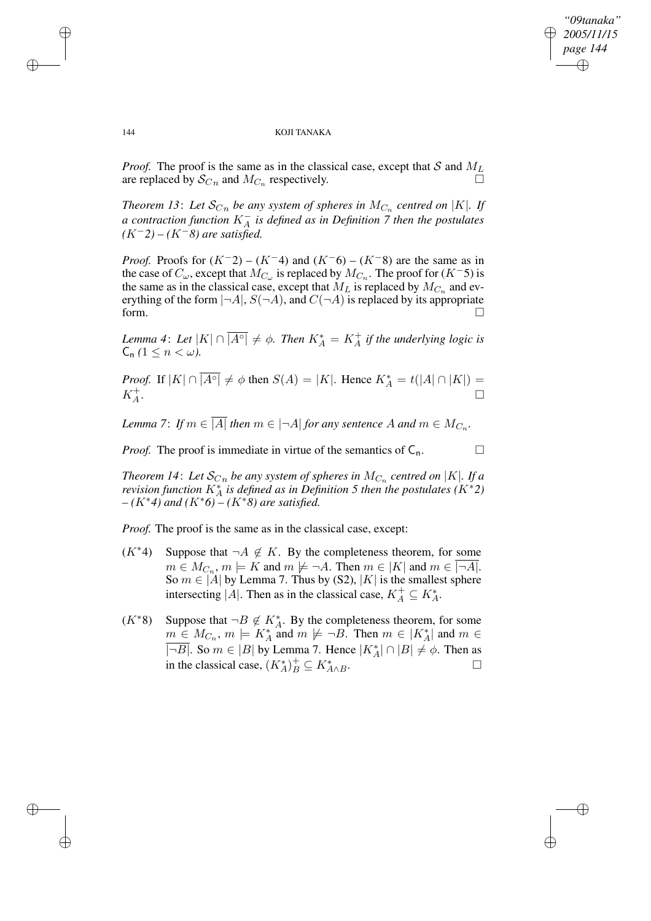✐

#### 144 KOJI TANAKA

*Proof.* The proof is the same as in the classical case, except that S and  $M_L$  are replaced by  $S_C$  and  $M_C$  respectively are replaced by  $\mathcal{S}_{C_n}$  and  $M_{C_n}$  respectively.

*Theorem* 13: Let  $\mathcal{S}_{Cn}$  be any system of spheres in  $M_{C_n}$  centred on |K|. If *a contraction function* K<sup>−</sup> A *is defined as in Definition 7 then the postulates (*K−*2) – (*K−*8) are satisfied.*

*Proof.* Proofs for  $(K^-2) - (K^-4)$  and  $(K^-6) - (K^-8)$  are the same as in the case of  $C_{\omega}$ , except that  $M_{C_{\omega}}$  is replaced by  $M_{C_n}$ . The proof for  $(K^-5)$  is the same as in the classical case, except that  $M_L$  is replaced by  $M_{C_n}$  and everything of the form  $|\neg A|$ ,  $S(\neg A)$ , and  $C(\neg A)$  is replaced by its appropriate form.  $\Box$ 

*Lemma* 4: Let  $|K| \cap |\overline{A^{\circ}|} \neq \emptyset$ . Then  $K_A^* = K_A^+$  if the underlying logic is  $C_n$   $(1 \leq n \leq \omega)$ .

*Proof.* If  $|K| \cap \overline{|A^{\circ}|} \neq \emptyset$  then  $S(A) = |K|$ . Hence  $K_A^* = t(|A| \cap |K|) =$  $K_A^+$ . В последните поставите на селото на селото на селото на селото на селото на селото на селото на селото на се<br>Селото на селото на селото на селото на селото на селото на селото на селото на селото на селото на селото на

*Lemma* 7: *If*  $m \in |A|$  *then*  $m \in |\neg A|$  *for any sentence* A *and*  $m \in M_{C_n}$ .

*Proof.* The proof is immediate in virtue of the semantics of  $C_n$ .

*Theorem 14: Let*  $\mathcal{S}_{C_n}$  *be any system of spheres in*  $M_{C_n}$  *centred on*  $|K|$ *<i>. If a revision function*  $K_A^*$  *is defined as in Definition* 5 *then the postulates*  $(K^*2)$ *– (*K∗*4) and (*K∗*6) – (*K∗*8) are satisfied.*

*Proof.* The proof is the same as in the classical case, except:

- $(K^*4)$  Suppose that  $\neg A \notin K$ . By the completeness theorem, for some  $m \in M_{C_n}$ ,  $m \models K$  and  $m \not\models \neg A$ . Then  $m \in |K|$  and  $m \in |\neg A|$ . So  $m \in |A|$  by Lemma 7. Thus by (S2),  $|K|$  is the smallest sphere intersecting |A|. Then as in the classical case,  $K_A^+ \subseteq K_A^*$ .
- $(K^*8)$  Suppose that  $\neg B \notin K_A^*$ . By the completeness theorem, for some  $\underline{m \in M_{C_n}}$ ,  $m \models K_A^*$  and  $m \not\models \neg B$ . Then  $m \in |K_A^*|$  and  $m \in$  $\overline{|\neg B|}$ . So  $m \in |B|$  by Lemma 7. Hence  $|K_A^*| \cap |B| \neq \phi$ . Then as in the classical case,  $(K_A^*)^+_B \subseteq K_{A \wedge B}^*$ . — Процессиональные производствовались и производствовались и производствовались и производствовались и произ<br>В собстановки производствовались производствовались и производствовались производствовались и производствовали

✐

✐

✐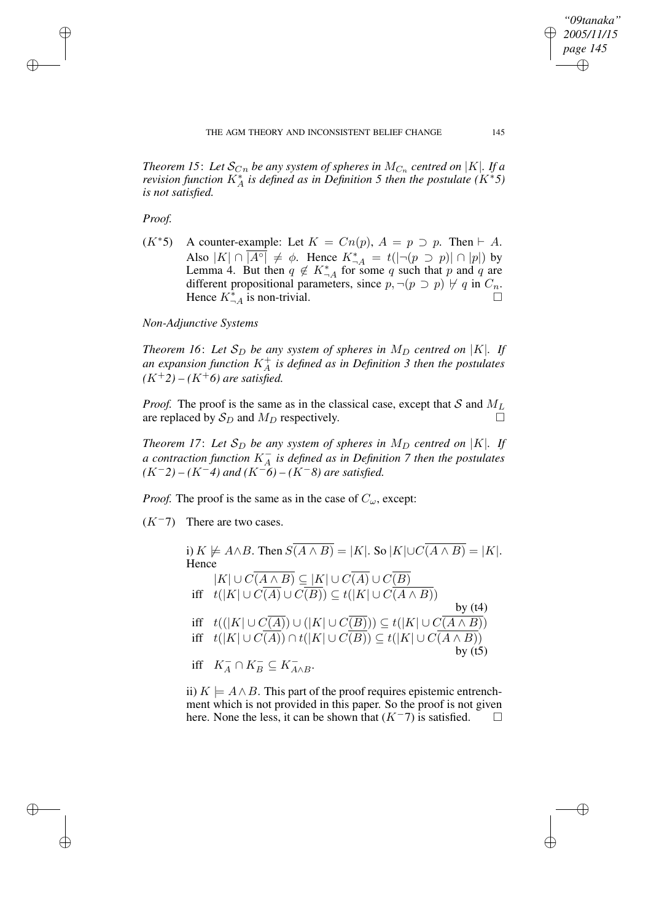*Theorem 15*: Let  $\mathcal{S}_{C_n}$  be any system of spheres in  $M_{C_n}$  centred on  $|K|$ . If a *revision function*  $K_A^*$  *is defined as in Definition* 5 *then the postulate*  $(K^*5)$ *is not satisfied.*

*Proof.*

✐

✐

✐

✐

 $(K^*5)$  A counter-example: Let  $K = Cn(p)$ ,  $A = p \supset p$ . Then  $\vdash A$ . Also  $|K| \cap \overline{|A^{\circ}|} \neq \emptyset$ . Hence  $K_{\neg A}^* = t(|\neg(p \supset p)| \cap |p|)$  by Lemma 4. But then  $q \notin K^*_{\neg A}$  for some q such that p and q are different propositional parameters, since  $p, \neg(p \supset p) \not\vdash q$  in  $C_n$ . Hence  $K_{-A}^*$  is non-trivial.

## *Non-Adjunctive Systems*

*Theorem* 16: Let  $S_D$  be any system of spheres in  $M_D$  centred on |K|. If an expansion function  $K_A^+$  is defined as in Definition 3 then the postulates  $(K^+2) - (K^+6)$  *are satisfied.* 

*Proof.* The proof is the same as in the classical case, except that S and  $M_L$ are replaced by  $S_D$  and  $M_D$  respectively.

*Theorem* 17: Let  $S_D$  *be any system of spheres in*  $M_D$  *centred on*  $|K|$ *. If a contraction function* K<sup>−</sup> A *is defined as in Definition 7 then the postulates*  $(K^-2) - (K^-4)$  *and*  $(K^-6) - (K^-8)$  *are satisfied.* 

*Proof.* The proof is the same as in the case of  $C_{\omega}$ , except:

 $(K<sup>-7</sup>)$  There are two cases.

i)  $K \not\models A \wedge B$ . Then  $S(\overline{A \wedge B}) = |K|$ . So  $|K| \cup C(\overline{A \wedge B}) = |K|$ . Hence  $|K| \cup C(A \wedge B) \subseteq |K| \cup C(A) \cup C(B)$ iff  $t(|K| \cup C(A) \cup C(B)) \subseteq t(|K| \cup C(A \wedge B))$ by  $(t4)$ iff  $t((|K| \cup C(A)) \cup (|K| \cup C(B))) \subseteq t(|K| \cup C(A \wedge B))$ iff  $t(|K| \cup C(A)) \cap t(|K| \cup C(B)) \subseteq t(|K| \cup C(A \wedge B))$ by  $(t5)$ iff  $K_A^- \cap K_B^- \subseteq K_{A \wedge B}^-$ .

ii)  $K \models A \land B$ . This part of the proof requires epistemic entrenchment which is not provided in this paper. So the proof is not given here. None the less, it can be shown that  $(K^-7)$  is satisfied.

*"09tanaka" 2005/11/15 page 145*

✐

✐

✐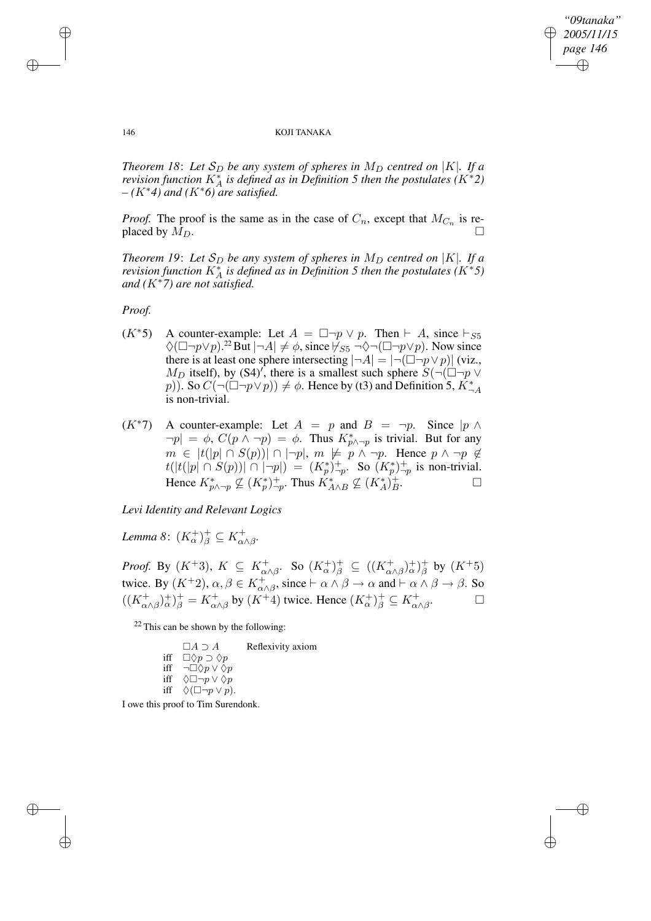✐

#### 146 KOJI TANAKA

*Theorem* 18: Let  $S_D$  be any system of spheres in  $M_D$  centred on |K|. If a *revision function*  $K_A^*$  *is defined as in Definition* 5 *then the postulates*  $(K^*2)$ *– (*K∗*4) and (*K∗*6) are satisfied.*

*Proof.* The proof is the same as in the case of  $C_n$ , except that  $M_{C_n}$  is replaced by  $M_D$ .

*Theorem* 19: Let  $S_D$  *be any system of spheres in*  $M_D$  *centred on* |K|*. If a revision function*  $K_A^*$  *is defined as in Definition* 5 *then the postulates*  $(K^*5)$ *and (*K∗*7) are not satisfied.*

*Proof.*

- $(K^*5)$  A counter-example: Let  $A = \Box \neg p \lor p$ . Then  $\vdash A$ , since  $\vdash_{S5}$  $\Diamond(\Box\neg p\lor p)$ .<sup>22</sup> But  $|\neg A|\neq \emptyset$ , since  $\nvdash_{S5} \neg \Diamond \neg (\Box \neg p\lor p)$ . Now since there is at least one sphere intersecting  $|\neg A| = |\neg(\Box \neg p \lor p)|$  (viz.,  $M_D$  itself), by (S4)', there is a smallest such sphere  $S(\neg(\Box\neg p \vee$ p)). So  $C(\neg(\Box \neg p \lor p)) \neq \phi$ . Hence by (t3) and Definition 5,  $K_{\neg A}^*$ is non-trivial.
- $(K^*7)$  A counter-example: Let  $A = p$  and  $B = \neg p$ . Since  $|p \wedge p|$  $|\neg p| = \phi$ ,  $C(p \land \neg p) = \phi$ . Thus  $K^*_{p \land \neg p}$  is trivial. But for any  $m \in |t(|p| \cap S(p))| \cap |\neg p|, m \not\models p \land \neg p$ . Hence  $p \land \neg p \not\in$  $t(|t(|p| \cap S(p))| \cap |\neg p|) = (K_p^*)^+_{\neg p}$ . So  $(K_p^*)^+_{\neg p}$  is non-trivial. Hence  $K^*_{p \wedge \neg p} \not\subseteq (K^*_p)^+_{\neg p}$ . Thus  $K^*_{A \wedge B} \not\subseteq (K^*_A)^+_{B}$  $\Box$

*Levi Identity and Relevant Logics*

Lemma 8:  $(K_\alpha^+)_\beta^+ \subseteq K_{\alpha \wedge \beta}^+$ .

*Proof.* By  $(K^+3)$ ,  $K \subseteq K^+_{\alpha \wedge \beta}$ . So  $(K^+_{\alpha})^+_{\beta} \subseteq ((K^+_{\alpha \wedge \beta})^+_{\alpha})^+_{\beta}$  by  $(K^+5)$ twice. By  $(K^+2)$ ,  $\alpha, \beta \in K^+_{\alpha \wedge \beta}$ , since  $\vdash \alpha \wedge \beta \rightarrow \alpha$  and  $\vdash \alpha \wedge \beta \rightarrow \beta$ . So  $((K_{\alpha\wedge\beta}^+)_\alpha^+)_\beta^+ = K_{\alpha\wedge\beta}^+$  by  $(K^+4)$  twice. Hence  $(K_\alpha^+)_\beta^+ \subseteq K_{\alpha\wedge\beta}^+$ . — П

 $22$  This can be shown by the following:

| $\Box A \supset A$ | Reflexivity axiom                                                                                                                                                             |
|--------------------|-------------------------------------------------------------------------------------------------------------------------------------------------------------------------------|
|                    |                                                                                                                                                                               |
|                    |                                                                                                                                                                               |
|                    |                                                                                                                                                                               |
|                    |                                                                                                                                                                               |
|                    | iff $\Box$ $\Diamond p \supset \Diamond p$<br>iff $\neg \Box \Diamond p \vee \Diamond p$<br>iff $\Diamond \Box \neg p \vee \Diamond p$<br>iff $\Diamond(\Box \neg p \vee p).$ |

I owe this proof to Tim Surendonk.

✐

✐

✐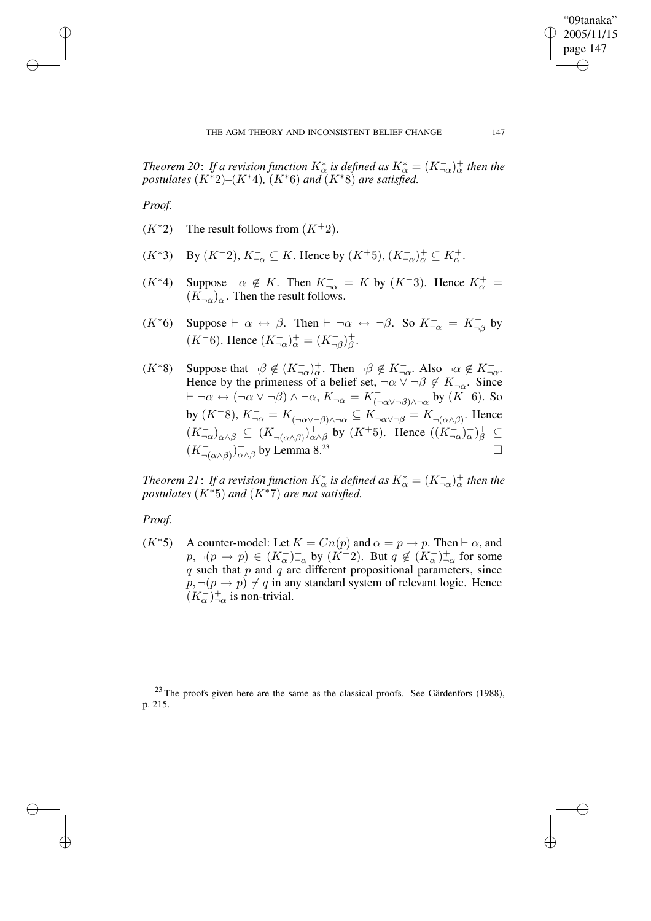✐

*Theorem* 20: If a revision function  $K^*_{\alpha}$  is defined as  $K^*_{\alpha} = (K^-_{-\alpha})^+_{\alpha}$  then the *postulates*  $(K^*2)$ – $(K^*4)$ ,  $(K^*6)$  *and*  $(K^*8)$  *are satisfied.* 

*Proof.*

✐

✐

✐

✐

- $(K^*2)$  The result follows from  $(K^+2)$ .
- $(K^*3)$  By  $(K^-2)$ ,  $K^-_{\neg \alpha} \subseteq K$ . Hence by  $(K^+5)$ ,  $(K^-_{\neg \alpha})^+_{\alpha} \subseteq K^+_{\alpha}$ .
- $(K^*4)$  Suppose  $\neg \alpha \notin K$ . Then  $K_{\neg \alpha}^- = K$  by  $(K^-3)$ . Hence  $K_{\alpha}^+ =$  $(K_{\neg\alpha}^{-})_{\alpha}^{+}$ . Then the result follows.
- $(K^*6)$  Suppose  $\vdash \alpha \leftrightarrow \beta$ . Then  $\vdash \neg \alpha \leftrightarrow \neg \beta$ . So  $K^-_{\neg \alpha} = K^-_{\neg \beta}$  by  $(K^{-}6)$ . Hence  $(K^{-}_{\neg\alpha})_{\alpha}^{+} = (K^{-}_{\neg\beta})_{\beta}^{+}$ .
- $(K^*8)$  Suppose that  $\neg \beta \notin (K_{\neg \alpha}^-\dagger)^+$ . Then  $\neg \beta \notin K_{\neg \alpha}^-\$ . Also  $\neg \alpha \notin K_{\neg \alpha}^-\$ . Hence by the primeness of a belief set,  $\neg \alpha \lor \neg \beta \notin K_{\neg \alpha}^-$ . Since  $\vdash \neg \alpha \leftrightarrow (\neg \alpha \vee \neg \beta) \wedge \neg \alpha$ ,  $K_{\neg \alpha}^{-} = K_{(\neg \alpha \vee \neg \beta) \wedge \neg \alpha}^{-}$  by  $(K^{-}6)$ . So by  $(K^{-}8)$ ,  $K_{\neg \alpha}^{-} = K_{(\neg \alpha \vee \neg \beta) \wedge \neg \alpha}^{-} \subseteq K_{\neg \alpha \vee \neg \beta}^{-} = K_{\neg (\alpha \wedge \beta)}^{-}$ . Hence  $(K_{\neg\alpha}^{-})_{\alpha\wedge\beta}^{+} \subseteq (K_{\neg(\alpha\wedge\beta)}^{-})_{\alpha\wedge\beta}^{+}$  by  $(K^{+}5)$ . Hence  $((K_{\neg\alpha}^{-})_{\alpha}^{+})_{\beta}^{+} \subseteq$  $(K^{-}_{\neg(\alpha \wedge \beta)})^+_{\alpha \wedge \beta}$  by Lemma 8.<sup>23</sup>

*Theorem* 21: If a revision function  $K^*_{\alpha}$  is defined as  $K^*_{\alpha} = (K^-_{-\alpha})^+_{\alpha}$  then the *postulates*  $(K^*5)$  *and*  $(K^*7)$  *are not satisfied.* 

## *Proof.*

 $(K^*5)$  A counter-model: Let  $K = Cn(p)$  and  $\alpha = p \rightarrow p$ . Then  $\vdash \alpha$ , and  $(p, \neg(p \rightarrow p) \in (K_{\alpha}^{-})_{\neg \alpha}^{+}$  by  $(K^{\rightarrow}2)$ . But  $q \notin (K_{\alpha}^{-})_{\neg \alpha}^{+}$  for some  $q$  such that  $p$  and  $q$  are different propositional parameters, since  $p, \neg(p \rightarrow p) \not\vdash q$  in any standard system of relevant logic. Hence  $(K_{\alpha}^{-})_{-\alpha}^{+}$  is non-trivial.

 $23$  The proofs given here are the same as the classical proofs. See Gärdenfors (1988), p. 215.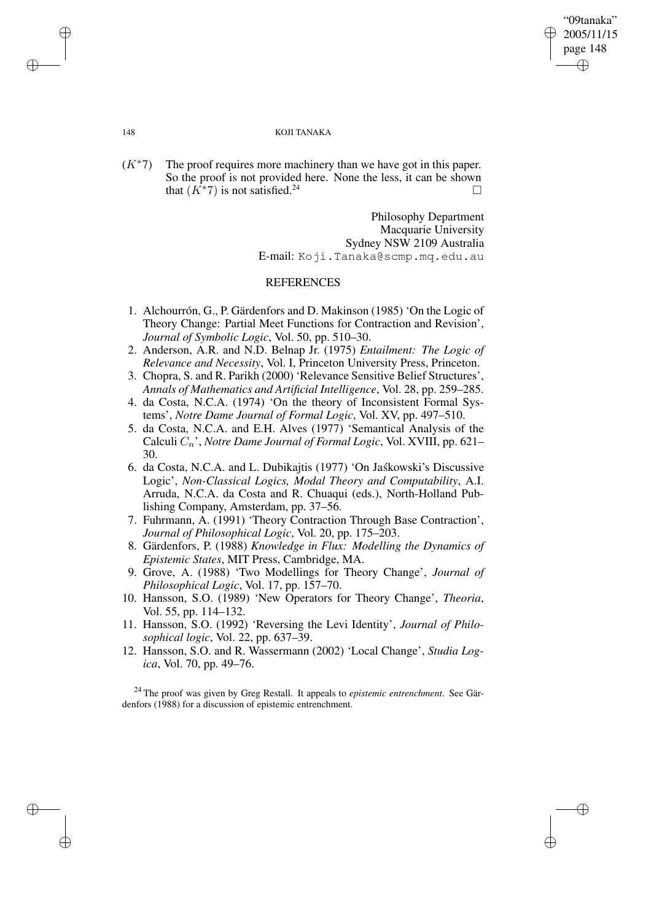✐

#### 148 KOJI TANAKA

 $(K^*7)$  The proof requires more machinery than we have got in this paper. So the proof is not provided here. None the less, it can be shown that  $(K^*7)$  is not satisfied.<sup>24</sup>

> Philosophy Department Macquarie University Sydney NSW 2109 Australia E-mail: Koji.Tanaka@scmp.mq.edu.au

## REFERENCES

- 1. Alchourrón, G., P. Gärdenfors and D. Makinson (1985) 'On the Logic of Theory Change: Partial Meet Functions for Contraction and Revision', *Journal of Symbolic Logic*, Vol. 50, pp. 510–30.
- 2. Anderson, A.R. and N.D. Belnap Jr. (1975) *Entailment: The Logic of Relevance and Necessity*, Vol. I, Princeton University Press, Princeton.
- 3. Chopra, S. and R. Parikh (2000) 'Relevance Sensitive Belief Structures', *Annals of Mathematics and Artificial Intelligence*, Vol. 28, pp. 259–285.
- 4. da Costa, N.C.A. (1974) 'On the theory of Inconsistent Formal Systems', *Notre Dame Journal of Formal Logic*, Vol. XV, pp. 497–510.
- 5. da Costa, N.C.A. and E.H. Alves (1977) 'Semantical Analysis of the Calculi Cn', *Notre Dame Journal of Formal Logic*, Vol. XVIII, pp. 621– 30.
- 6. da Costa, N.C.A. and L. Dubikajtis (1977) 'On Jaskowski's Discussive Logic', *Non-Classical Logics, Modal Theory and Computability*, A.I. Arruda, N.C.A. da Costa and R. Chuaqui (eds.), North-Holland Publishing Company, Amsterdam, pp. 37–56.
- 7. Fuhrmann, A. (1991) 'Theory Contraction Through Base Contraction', *Journal of Philosophical Logic*, Vol. 20, pp. 175–203.
- 8. Gärdenfors, P. (1988) *Knowledge in Flux: Modelling the Dynamics of Epistemic States*, MIT Press, Cambridge, MA.
- 9. Grove, A. (1988) 'Two Modellings for Theory Change', *Journal of Philosophical Logic*, Vol. 17, pp. 157–70.
- 10. Hansson, S.O. (1989) 'New Operators for Theory Change', *Theoria*, Vol. 55, pp. 114–132.
- 11. Hansson, S.O. (1992) 'Reversing the Levi Identity', *Journal of Philosophical logic*, Vol. 22, pp. 637–39.
- 12. Hansson, S.O. and R. Wassermann (2002) 'Local Change', *Studia Logica*, Vol. 70, pp. 49–76.

<sup>24</sup> The proof was given by Greg Restall. It appeals to *epistemic entrenchment*. See Gärdenfors (1988) for a discussion of epistemic entrenchment.

✐

✐

✐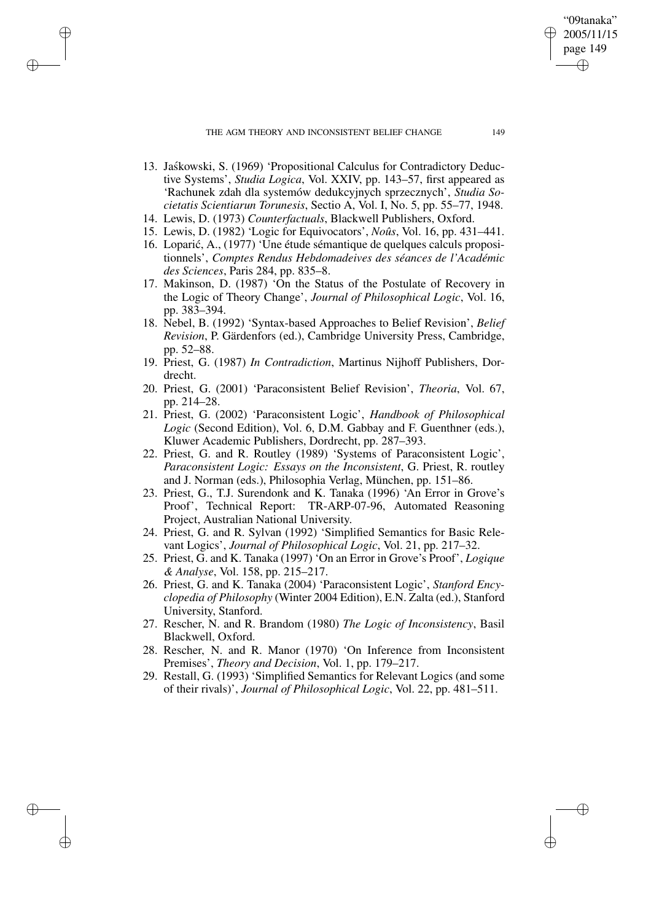THE AGM THEORY AND INCONSISTENT BELIEF CHANGE 149

✐

✐

✐

✐

- 13. Jaskowski, S. (1969) 'Propositional Calculus for Contradictory Deductive Systems', *Studia Logica*, Vol. XXIV, pp. 143–57, first appeared as 'Rachunek zdah dla systemów dedukcyjnych sprzecznych', *Studia Societatis Scientiarun Torunesis*, Sectio A, Vol. I, No. 5, pp. 55–77, 1948.
- 14. Lewis, D. (1973) *Counterfactuals*, Blackwell Publishers, Oxford.
- 15. Lewis, D. (1982) 'Logic for Equivocators', *Noûs*, Vol. 16, pp. 431–441.
- 16. Loparić, A., (1977) 'Une étude sémantique de quelques calculs propositionnels', *Comptes Rendus Hebdomadeives des séances de l'Académic des Sciences*, Paris 284, pp. 835–8.
- 17. Makinson, D. (1987) 'On the Status of the Postulate of Recovery in the Logic of Theory Change', *Journal of Philosophical Logic*, Vol. 16, pp. 383–394.
- 18. Nebel, B. (1992) 'Syntax-based Approaches to Belief Revision', *Belief Revision*, P. Gärdenfors (ed.), Cambridge University Press, Cambridge, pp. 52–88.
- 19. Priest, G. (1987) *In Contradiction*, Martinus Nijhoff Publishers, Dordrecht.
- 20. Priest, G. (2001) 'Paraconsistent Belief Revision', *Theoria*, Vol. 67, pp. 214–28.
- 21. Priest, G. (2002) 'Paraconsistent Logic', *Handbook of Philosophical Logic* (Second Edition), Vol. 6, D.M. Gabbay and F. Guenthner (eds.), Kluwer Academic Publishers, Dordrecht, pp. 287–393.
- 22. Priest, G. and R. Routley (1989) 'Systems of Paraconsistent Logic', *Paraconsistent Logic: Essays on the Inconsistent*, G. Priest, R. routley and J. Norman (eds.), Philosophia Verlag, München, pp. 151–86.
- 23. Priest, G., T.J. Surendonk and K. Tanaka (1996) 'An Error in Grove's Proof', Technical Report: TR-ARP-07-96, Automated Reasoning Project, Australian National University.
- 24. Priest, G. and R. Sylvan (1992) 'Simplified Semantics for Basic Relevant Logics', *Journal of Philosophical Logic*, Vol. 21, pp. 217–32.
- 25. Priest, G. and K. Tanaka (1997) 'On an Error in Grove's Proof', *Logique & Analyse*, Vol. 158, pp. 215–217.
- 26. Priest, G. and K. Tanaka (2004) 'Paraconsistent Logic', *Stanford Encyclopedia of Philosophy* (Winter 2004 Edition), E.N. Zalta (ed.), Stanford University, Stanford.
- 27. Rescher, N. and R. Brandom (1980) *The Logic of Inconsistency*, Basil Blackwell, Oxford.
- 28. Rescher, N. and R. Manor (1970) 'On Inference from Inconsistent Premises', *Theory and Decision*, Vol. 1, pp. 179–217.
- 29. Restall, G. (1993) 'Simplified Semantics for Relevant Logics (and some of their rivals)', *Journal of Philosophical Logic*, Vol. 22, pp. 481–511.

"09tanaka" 2005/11/15 page 149

✐

✐

✐